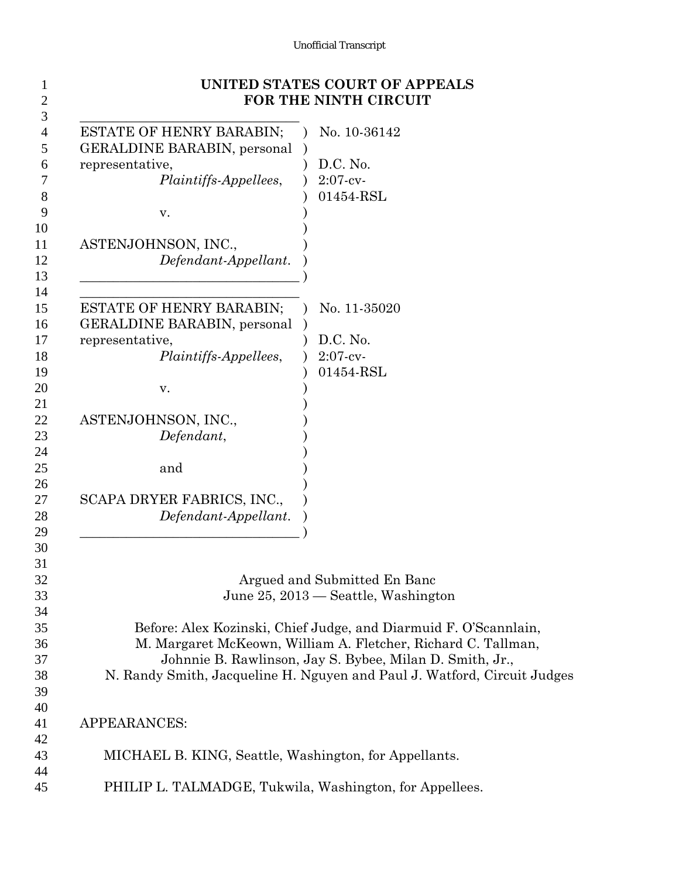## Unofficial Transcript

|                                                                                                                                                                                                                                  | UNITED STATES COURT OF APPEALS<br>FOR THE NINTH CIRCUIT                                                                                                                                                                                                                                                                                          |
|----------------------------------------------------------------------------------------------------------------------------------------------------------------------------------------------------------------------------------|--------------------------------------------------------------------------------------------------------------------------------------------------------------------------------------------------------------------------------------------------------------------------------------------------------------------------------------------------|
| <b>ESTATE OF HENRY BARABIN;</b><br><b>GERALDINE BARABIN, personal</b><br>representative,<br><i>Plaintiffs-Appellees,</i><br>V.<br>ASTENJOHNSON, INC.,<br>Defendant-Appellant.                                                    | No. 10-36142<br>D.C. No.<br>$2:07-cv$<br>01454-RSL                                                                                                                                                                                                                                                                                               |
| <b>ESTATE OF HENRY BARABIN;</b><br><b>GERALDINE BARABIN, personal</b><br>representative,<br><i>Plaintiffs-Appellees,</i><br>V.<br>ASTENJOHNSON, INC.,<br>Defendant,<br>and<br>SCAPA DRYER FABRICS, INC.,<br>Defendant-Appellant. | No. 11-35020<br>D.C. No.<br>$2:07-cv$<br>01454-RSL                                                                                                                                                                                                                                                                                               |
|                                                                                                                                                                                                                                  | Argued and Submitted En Banc<br>June 25, 2013 — Seattle, Washington<br>Before: Alex Kozinski, Chief Judge, and Diarmuid F. O'Scannlain,<br>M. Margaret McKeown, William A. Fletcher, Richard C. Tallman,<br>Johnnie B. Rawlinson, Jay S. Bybee, Milan D. Smith, Jr.,<br>N. Randy Smith, Jacqueline H. Nguyen and Paul J. Watford, Circuit Judges |
| <b>APPEARANCES:</b>                                                                                                                                                                                                              |                                                                                                                                                                                                                                                                                                                                                  |
| MICHAEL B. KING, Seattle, Washington, for Appellants.                                                                                                                                                                            |                                                                                                                                                                                                                                                                                                                                                  |
| PHILIP L. TALMADGE, Tukwila, Washington, for Appellees.                                                                                                                                                                          |                                                                                                                                                                                                                                                                                                                                                  |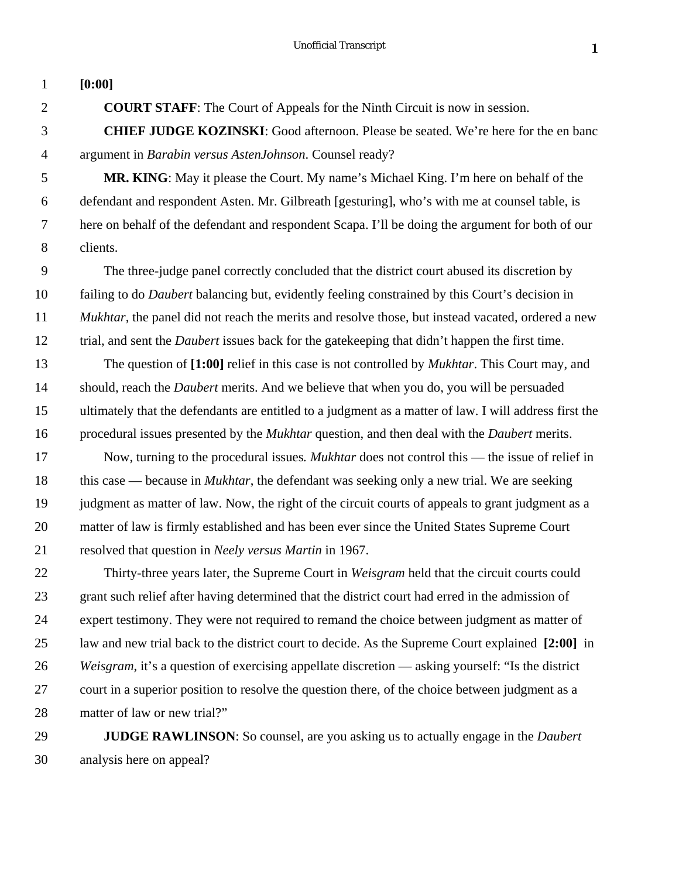| $\mathbf{1}$   | [0:00]                                                                                                    |
|----------------|-----------------------------------------------------------------------------------------------------------|
| $\overline{2}$ | <b>COURT STAFF:</b> The Court of Appeals for the Ninth Circuit is now in session.                         |
| 3              | <b>CHIEF JUDGE KOZINSKI:</b> Good afternoon. Please be seated. We're here for the en banc                 |
| $\overline{4}$ | argument in Barabin versus AstenJohnson. Counsel ready?                                                   |
| 5              | <b>MR. KING:</b> May it please the Court. My name's Michael King. I'm here on behalf of the               |
| 6              | defendant and respondent Asten. Mr. Gilbreath [gesturing], who's with me at counsel table, is             |
| 7              | here on behalf of the defendant and respondent Scapa. I'll be doing the argument for both of our          |
| 8              | clients.                                                                                                  |
| 9              | The three-judge panel correctly concluded that the district court abused its discretion by                |
| 10             | failing to do <i>Daubert</i> balancing but, evidently feeling constrained by this Court's decision in     |
| 11             | Mukhtar, the panel did not reach the merits and resolve those, but instead vacated, ordered a new         |
| 12             | trial, and sent the <i>Daubert</i> issues back for the gate keeping that didn't happen the first time.    |
| 13             | The question of [1:00] relief in this case is not controlled by <i>Mukhtar</i> . This Court may, and      |
| 14             | should, reach the <i>Daubert</i> merits. And we believe that when you do, you will be persuaded           |
| 15             | ultimately that the defendants are entitled to a judgment as a matter of law. I will address first the    |
| 16             | procedural issues presented by the <i>Mukhtar</i> question, and then deal with the <i>Daubert</i> merits. |
| 17             | Now, turning to the procedural issues. <i>Mukhtar</i> does not control this — the issue of relief in      |
| 18             | this case — because in <i>Mukhtar</i> , the defendant was seeking only a new trial. We are seeking        |
| 19             | judgment as matter of law. Now, the right of the circuit courts of appeals to grant judgment as a         |
| 20             | matter of law is firmly established and has been ever since the United States Supreme Court               |
| 21             | resolved that question in Neely versus Martin in 1967.                                                    |
| 22             | Thirty-three years later, the Supreme Court in Weisgram held that the circuit courts could                |
| 23             | grant such relief after having determined that the district court had erred in the admission of           |
| 24             | expert testimony. They were not required to remand the choice between judgment as matter of               |
| 25             | law and new trial back to the district court to decide. As the Supreme Court explained [2:00] in          |
| 26             | Weisgram, it's a question of exercising appellate discretion — asking yourself: "Is the district          |
| 27             | court in a superior position to resolve the question there, of the choice between judgment as a           |

matter of law or new trial?"

 **JUDGE RAWLINSON**: So counsel, are you asking us to actually engage in the *Daubert* analysis here on appeal?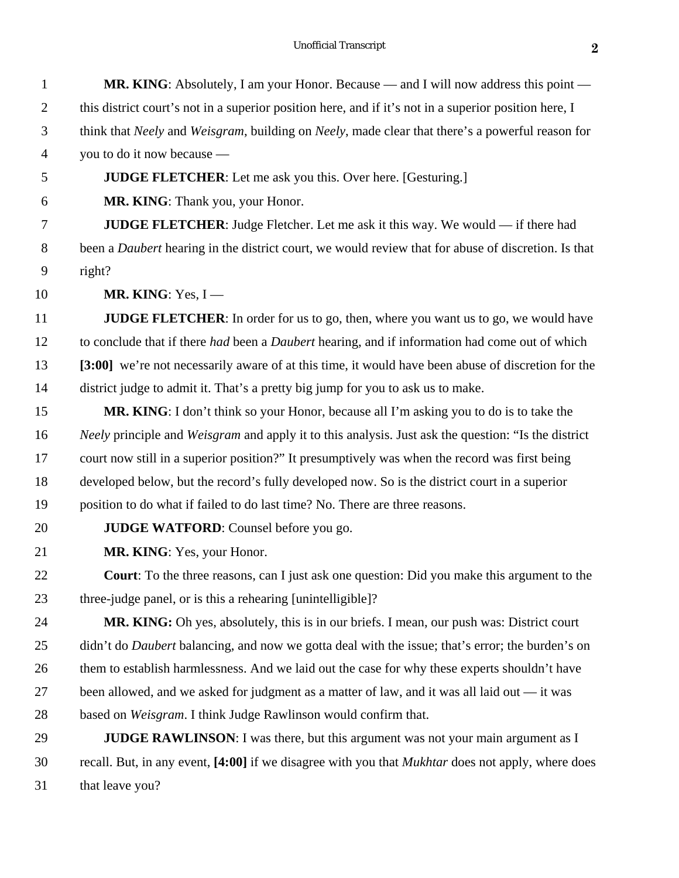| $\mathbf{1}$   | <b>MR. KING:</b> Absolutely, I am your Honor. Because — and I will now address this point —                       |
|----------------|-------------------------------------------------------------------------------------------------------------------|
| $\overline{2}$ | this district court's not in a superior position here, and if it's not in a superior position here, I             |
| 3              | think that Neely and Weisgram, building on Neely, made clear that there's a powerful reason for                   |
| $\overline{4}$ | you to do it now because —                                                                                        |
| 5              | <b>JUDGE FLETCHER:</b> Let me ask you this. Over here. [Gesturing.]                                               |
| 6              | MR. KING: Thank you, your Honor.                                                                                  |
| 7              | <b>JUDGE FLETCHER:</b> Judge Fletcher. Let me ask it this way. We would $-$ if there had                          |
| $8\,$          | been a Daubert hearing in the district court, we would review that for abuse of discretion. Is that               |
| 9              | right?                                                                                                            |
| 10             | MR. KING: Yes, $I$ —                                                                                              |
| 11             | <b>JUDGE FLETCHER:</b> In order for us to go, then, where you want us to go, we would have                        |
| 12             | to conclude that if there <i>had</i> been a <i>Daubert</i> hearing, and if information had come out of which      |
| 13             | [3:00] we're not necessarily aware of at this time, it would have been abuse of discretion for the                |
| 14             | district judge to admit it. That's a pretty big jump for you to ask us to make.                                   |
| 15             | <b>MR. KING:</b> I don't think so your Honor, because all I'm asking you to do is to take the                     |
| 16             | <i>Neely</i> principle and <i>Weisgram</i> and apply it to this analysis. Just ask the question: "Is the district |
| 17             | court now still in a superior position?" It presumptively was when the record was first being                     |
| 18             | developed below, but the record's fully developed now. So is the district court in a superior                     |
| 19             | position to do what if failed to do last time? No. There are three reasons.                                       |
| 20             | <b>JUDGE WATFORD:</b> Counsel before you go.                                                                      |
| 21             | MR. KING: Yes, your Honor.                                                                                        |
| 22             | <b>Court:</b> To the three reasons, can I just ask one question: Did you make this argument to the                |
| 23             | three-judge panel, or is this a rehearing [unintelligible]?                                                       |
| 24             | MR. KING: Oh yes, absolutely, this is in our briefs. I mean, our push was: District court                         |
| 25             | didn't do <i>Daubert</i> balancing, and now we gotta deal with the issue; that's error; the burden's on           |
| 26             | them to establish harmlessness. And we laid out the case for why these experts shouldn't have                     |
| 27             | been allowed, and we asked for judgment as a matter of law, and it was all laid out — it was                      |
| 28             | based on Weisgram. I think Judge Rawlinson would confirm that.                                                    |
| 29             | <b>JUDGE RAWLINSON:</b> I was there, but this argument was not your main argument as I                            |
| 30             | recall. But, in any event, [4:00] if we disagree with you that <i>Mukhtar</i> does not apply, where does          |
| 31             | that leave you?                                                                                                   |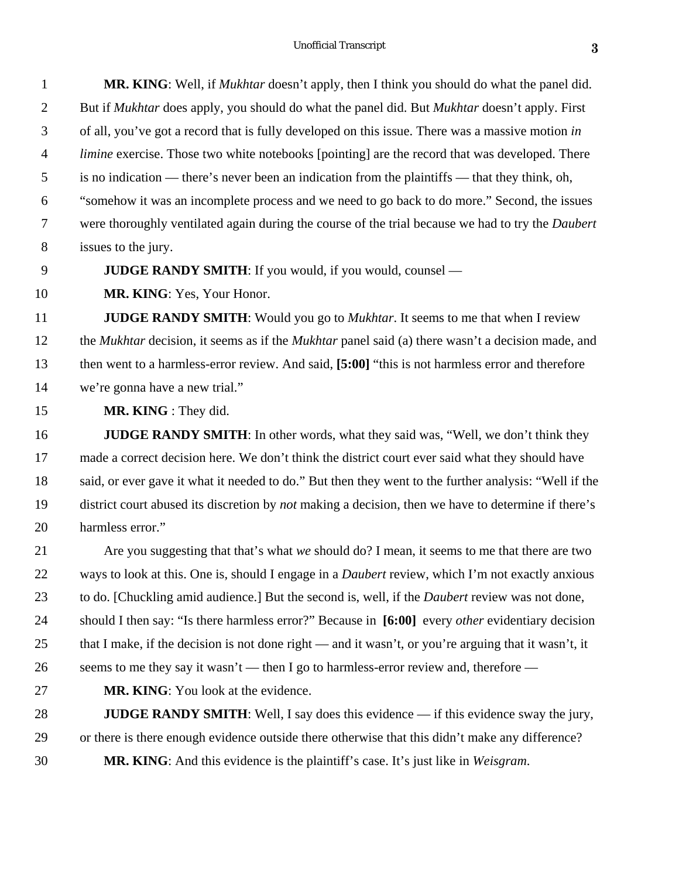| $\mathbf{1}$    | <b>MR. KING</b> : Well, if <i>Mukhtar</i> doesn't apply, then I think you should do what the panel did.     |
|-----------------|-------------------------------------------------------------------------------------------------------------|
| 2               | But if <i>Mukhtar</i> does apply, you should do what the panel did. But <i>Mukhtar</i> doesn't apply. First |
| 3               | of all, you've got a record that is fully developed on this issue. There was a massive motion in            |
| $\overline{4}$  | <i>limine</i> exercise. Those two white notebooks [pointing] are the record that was developed. There       |
| $5\overline{)}$ | is no indication — there's never been an indication from the plaintiffs — that they think, oh,              |
| 6               | "somehow it was an incomplete process and we need to go back to do more." Second, the issues                |
| $\tau$          | were thoroughly ventilated again during the course of the trial because we had to try the <i>Daubert</i>    |
| 8               | issues to the jury.                                                                                         |

**JUDGE RANDY SMITH**: If you would, if you would, counsel —

**MR. KING**: Yes, Your Honor.

 **JUDGE RANDY SMITH**: Would you go to *Mukhtar*. It seems to me that when I review the *Mukhtar* decision, it seems as if the *Mukhtar* panel said (a) there wasn't a decision made, and then went to a harmless-error review. And said, **[5:00]** "this is not harmless error and therefore we're gonna have a new trial."

**MR. KING** : They did.

**JUDGE RANDY SMITH**: In other words, what they said was, "Well, we don't think they made a correct decision here. We don't think the district court ever said what they should have said, or ever gave it what it needed to do." But then they went to the further analysis: "Well if the district court abused its discretion by *not* making a decision, then we have to determine if there's harmless error."

 Are you suggesting that that's what *we* should do? I mean, it seems to me that there are two ways to look at this. One is, should I engage in a *Daubert* review, which I'm not exactly anxious to do. [Chuckling amid audience.] But the second is, well, if the *Daubert* review was not done, should I then say: "Is there harmless error?" Because in **[6:00]** every *other* evidentiary decision that I make, if the decision is not done right — and it wasn't, or you're arguing that it wasn't, it 26 seems to me they say it wasn't — then I go to harmless-error review and, therefore —

**MR. KING**: You look at the evidence.

**JUDGE RANDY SMITH**: Well, I say does this evidence — if this evidence sway the jury, or there is there enough evidence outside there otherwise that this didn't make any difference? **MR. KING**: And this evidence is the plaintiff's case. It's just like in *Weisgram*.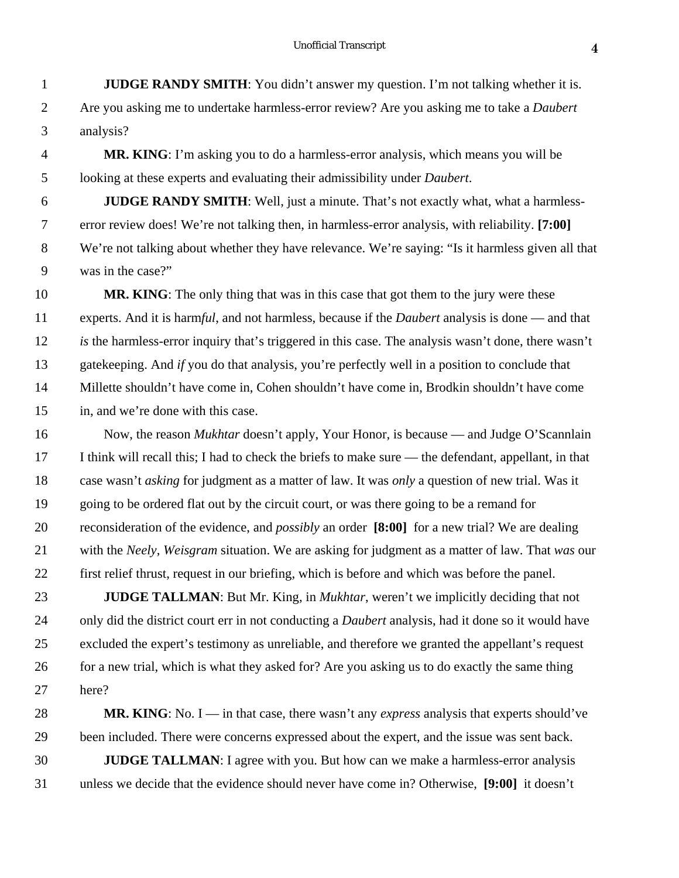- **JUDGE RANDY SMITH**: You didn't answer my question. I'm not talking whether it is. Are you asking me to undertake harmless-error review? Are you asking me to take a *Daubert* analysis?
- **MR. KING**: I'm asking you to do a harmless-error analysis, which means you will be looking at these experts and evaluating their admissibility under *Daubert*.

 **JUDGE RANDY SMITH**: Well, just a minute. That's not exactly what, what a harmless- error review does! We're not talking then, in harmless-error analysis, with reliability. **[7:00]** We're not talking about whether they have relevance. We're saying: "Is it harmless given all that was in the case?"

**MR. KING**: The only thing that was in this case that got them to the jury were these experts. And it is harm*ful*, and not harmless, because if the *Daubert* analysis is done — and that *is* the harmless-error inquiry that's triggered in this case. The analysis wasn't done, there wasn't gatekeeping. And *if* you do that analysis, you're perfectly well in a position to conclude that Millette shouldn't have come in, Cohen shouldn't have come in, Brodkin shouldn't have come in, and we're done with this case.

 Now, the reason *Mukhtar* doesn't apply, Your Honor, is because — and Judge O'Scannlain I think will recall this; I had to check the briefs to make sure — the defendant, appellant, in that case wasn't *asking* for judgment as a matter of law. It was *only* a question of new trial. Was it going to be ordered flat out by the circuit court, or was there going to be a remand for reconsideration of the evidence, and *possibly* an order **[8:00]** for a new trial? We are dealing with the *Neely*, *Weisgram* situation. We are asking for judgment as a matter of law. That *was* our first relief thrust, request in our briefing, which is before and which was before the panel.

 **JUDGE TALLMAN**: But Mr. King, in *Mukhtar*, weren't we implicitly deciding that not only did the district court err in not conducting a *Daubert* analysis, had it done so it would have excluded the expert's testimony as unreliable, and therefore we granted the appellant's request 26 for a new trial, which is what they asked for? Are you asking us to do exactly the same thing here?

**MR. KING**: No. I — in that case, there wasn't any *express* analysis that experts should've been included. There were concerns expressed about the expert, and the issue was sent back. **JUDGE TALLMAN**: I agree with you. But how can we make a harmless-error analysis unless we decide that the evidence should never have come in? Otherwise, **[9:00]** it doesn't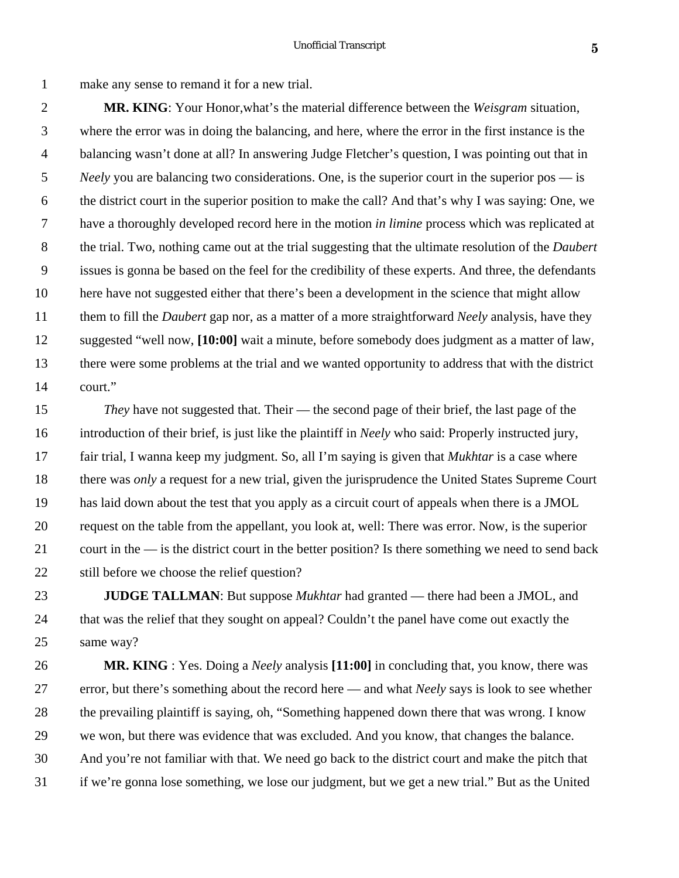make any sense to remand it for a new trial.

 **MR. KING**: Your Honor,what's the material difference between the *Weisgram* situation, where the error was in doing the balancing, and here, where the error in the first instance is the balancing wasn't done at all? In answering Judge Fletcher's question, I was pointing out that in *Neely* you are balancing two considerations. One, is the superior court in the superior pos — is the district court in the superior position to make the call? And that's why I was saying: One, we have a thoroughly developed record here in the motion *in limine* process which was replicated at the trial. Two, nothing came out at the trial suggesting that the ultimate resolution of the *Daubert* issues is gonna be based on the feel for the credibility of these experts. And three, the defendants here have not suggested either that there's been a development in the science that might allow them to fill the *Daubert* gap nor, as a matter of a more straightforward *Neely* analysis, have they suggested "well now, **[10:00]** wait a minute, before somebody does judgment as a matter of law, there were some problems at the trial and we wanted opportunity to address that with the district court."

 *They* have not suggested that. Their — the second page of their brief, the last page of the introduction of their brief, is just like the plaintiff in *Neely* who said: Properly instructed jury, fair trial, I wanna keep my judgment. So, all I'm saying is given that *Mukhtar* is a case where there was *only* a request for a new trial, given the jurisprudence the United States Supreme Court has laid down about the test that you apply as a circuit court of appeals when there is a JMOL request on the table from the appellant, you look at, well: There was error. Now, is the superior court in the — is the district court in the better position? Is there something we need to send back still before we choose the relief question?

 **JUDGE TALLMAN**: But suppose *Mukhtar* had granted — there had been a JMOL, and that was the relief that they sought on appeal? Couldn't the panel have come out exactly the same way?

 **MR. KING** : Yes. Doing a *Neely* analysis **[11:00]** in concluding that, you know, there was error, but there's something about the record here — and what *Neely* says is look to see whether the prevailing plaintiff is saying, oh, "Something happened down there that was wrong. I know we won, but there was evidence that was excluded. And you know, that changes the balance. And you're not familiar with that. We need go back to the district court and make the pitch that if we're gonna lose something, we lose our judgment, but we get a new trial." But as the United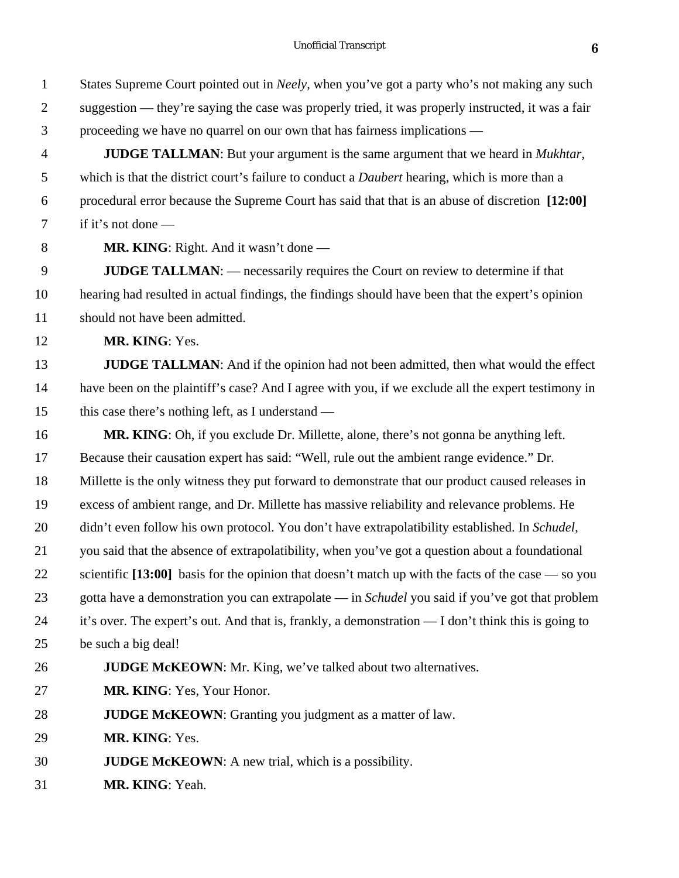States Supreme Court pointed out in *Neely*, when you've got a party who's not making any such suggestion — they're saying the case was properly tried, it was properly instructed, it was a fair proceeding we have no quarrel on our own that has fairness implications — **JUDGE TALLMAN**: But your argument is the same argument that we heard in *Mukhtar*, which is that the district court's failure to conduct a *Daubert* hearing, which is more than a procedural error because the Supreme Court has said that that is an abuse of discretion **[12:00]** if it's not done — **MR. KING**: Right. And it wasn't done — **JUDGE TALLMAN**: — necessarily requires the Court on review to determine if that hearing had resulted in actual findings, the findings should have been that the expert's opinion should not have been admitted. **MR. KING**: Yes. **JUDGE TALLMAN**: And if the opinion had not been admitted, then what would the effect have been on the plaintiff's case? And I agree with you, if we exclude all the expert testimony in this case there's nothing left, as I understand — **MR. KING**: Oh, if you exclude Dr. Millette, alone, there's not gonna be anything left. Because their causation expert has said: "Well, rule out the ambient range evidence." Dr. Millette is the only witness they put forward to demonstrate that our product caused releases in excess of ambient range, and Dr. Millette has massive reliability and relevance problems. He didn't even follow his own protocol. You don't have extrapolatibility established. In *Schudel*, you said that the absence of extrapolatibility, when you've got a question about a foundational scientific **[13:00]** basis for the opinion that doesn't match up with the facts of the case — so you gotta have a demonstration you can extrapolate — in *Schudel* you said if you've got that problem it's over. The expert's out. And that is, frankly, a demonstration — I don't think this is going to be such a big deal! **JUDGE McKEOWN**: Mr. King, we've talked about two alternatives. **MR. KING**: Yes, Your Honor. **JUDGE McKEOWN**: Granting you judgment as a matter of law. **MR. KING**: Yes. **JUDGE McKEOWN**: A new trial, which is a possibility. **MR. KING**: Yeah.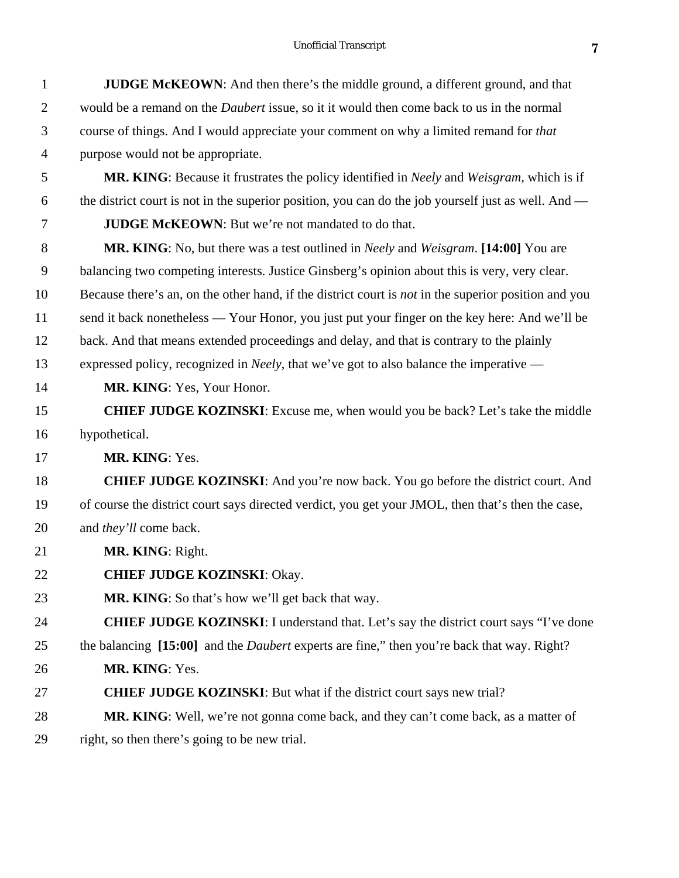| $\mathbf{1}$   | <b>JUDGE McKEOWN:</b> And then there's the middle ground, a different ground, and that                      |
|----------------|-------------------------------------------------------------------------------------------------------------|
| $\overline{2}$ | would be a remand on the <i>Daubert</i> issue, so it it would then come back to us in the normal            |
| 3              | course of things. And I would appreciate your comment on why a limited remand for that                      |
| $\overline{4}$ | purpose would not be appropriate.                                                                           |
| 5              | MR. KING: Because it frustrates the policy identified in <i>Neely</i> and <i>Weisgram</i> , which is if     |
| 6              | the district court is not in the superior position, you can do the job yourself just as well. And —         |
| 7              | <b>JUDGE McKEOWN:</b> But we're not mandated to do that.                                                    |
| 8              | MR. KING: No, but there was a test outlined in <i>Neely</i> and <i>Weisgram</i> . [14:00] You are           |
| 9              | balancing two competing interests. Justice Ginsberg's opinion about this is very, very clear.               |
| 10             | Because there's an, on the other hand, if the district court is <i>not</i> in the superior position and you |
| 11             | send it back nonetheless - Your Honor, you just put your finger on the key here: And we'll be               |
| 12             | back. And that means extended proceedings and delay, and that is contrary to the plainly                    |
| 13             | expressed policy, recognized in <i>Neely</i> , that we've got to also balance the imperative —              |
| 14             | MR. KING: Yes, Your Honor.                                                                                  |
| 15             | <b>CHIEF JUDGE KOZINSKI:</b> Excuse me, when would you be back? Let's take the middle                       |
| 16             | hypothetical.                                                                                               |
| 17             | MR. KING: Yes.                                                                                              |
| 18             | <b>CHIEF JUDGE KOZINSKI:</b> And you're now back. You go before the district court. And                     |
| 19             | of course the district court says directed verdict, you get your JMOL, then that's then the case,           |
| 20             | and they'll come back.                                                                                      |
| 21             | MR. KING: Right.                                                                                            |
| 22             | <b>CHIEF JUDGE KOZINSKI: Okay.</b>                                                                          |
| 23             | <b>MR. KING:</b> So that's how we'll get back that way.                                                     |
| 24             | <b>CHIEF JUDGE KOZINSKI:</b> I understand that. Let's say the district court says "I've done                |
| 25             | the balancing [15:00] and the <i>Daubert</i> experts are fine," then you're back that way. Right?           |
| 26             | MR. KING: Yes.                                                                                              |
| 27             | <b>CHIEF JUDGE KOZINSKI:</b> But what if the district court says new trial?                                 |
| 28             | MR. KING: Well, we're not gonna come back, and they can't come back, as a matter of                         |
| 29             | right, so then there's going to be new trial.                                                               |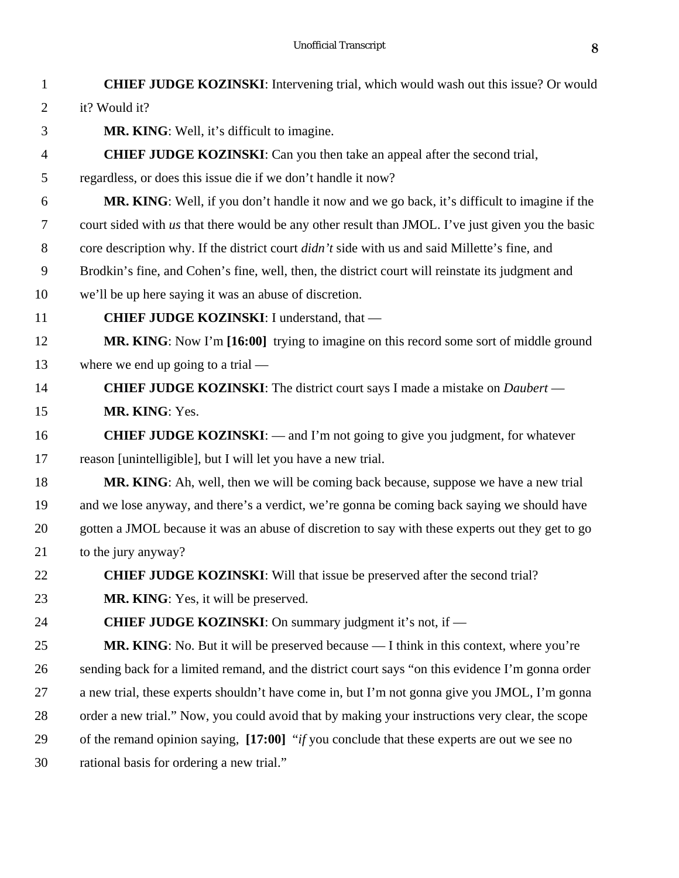| $\mathbf{1}$   | <b>CHIEF JUDGE KOZINSKI:</b> Intervening trial, which would wash out this issue? Or would            |
|----------------|------------------------------------------------------------------------------------------------------|
| $\overline{2}$ | it? Would it?                                                                                        |
| 3              | MR. KING: Well, it's difficult to imagine.                                                           |
| $\overline{4}$ | <b>CHIEF JUDGE KOZINSKI:</b> Can you then take an appeal after the second trial,                     |
| 5              | regardless, or does this issue die if we don't handle it now?                                        |
| 6              | <b>MR. KING:</b> Well, if you don't handle it now and we go back, it's difficult to imagine if the   |
| 7              | court sided with us that there would be any other result than JMOL. I've just given you the basic    |
| 8              | core description why. If the district court <i>didn't</i> side with us and said Millette's fine, and |
| 9              | Brodkin's fine, and Cohen's fine, well, then, the district court will reinstate its judgment and     |
| 10             | we'll be up here saying it was an abuse of discretion.                                               |
| 11             | CHIEF JUDGE KOZINSKI: I understand, that -                                                           |
| 12             | MR. KING: Now I'm [16:00] trying to imagine on this record some sort of middle ground                |
| 13             | where we end up going to a trial $-$                                                                 |
| 14             | <b>CHIEF JUDGE KOZINSKI:</b> The district court says I made a mistake on <i>Daubert</i> —            |
| 15             | MR. KING: Yes.                                                                                       |
| 16             | <b>CHIEF JUDGE KOZINSKI:</b> $-$ and I'm not going to give you judgment, for whatever                |
| 17             | reason [unintelligible], but I will let you have a new trial.                                        |
| 18             | <b>MR. KING:</b> Ah, well, then we will be coming back because, suppose we have a new trial          |
| 19             | and we lose anyway, and there's a verdict, we're gonna be coming back saying we should have          |
| 20             | gotten a JMOL because it was an abuse of discretion to say with these experts out they get to go     |
| 21             | to the jury anyway?                                                                                  |
| 22             | CHIEF JUDGE KOZINSKI: Will that issue be preserved after the second trial?                           |
| 23             | <b>MR. KING:</b> Yes, it will be preserved.                                                          |
| 24             | <b>CHIEF JUDGE KOZINSKI:</b> On summary judgment it's not, if —                                      |
| 25             | MR. KING: No. But it will be preserved because — I think in this context, where you're               |
| 26             | sending back for a limited remand, and the district court says "on this evidence I'm gonna order     |
| 27             | a new trial, these experts shouldn't have come in, but I'm not gonna give you JMOL, I'm gonna        |
| 28             | order a new trial." Now, you could avoid that by making your instructions very clear, the scope      |
| 29             | of the remand opinion saying, [17:00] "if you conclude that these experts are out we see no          |
| 30             | rational basis for ordering a new trial."                                                            |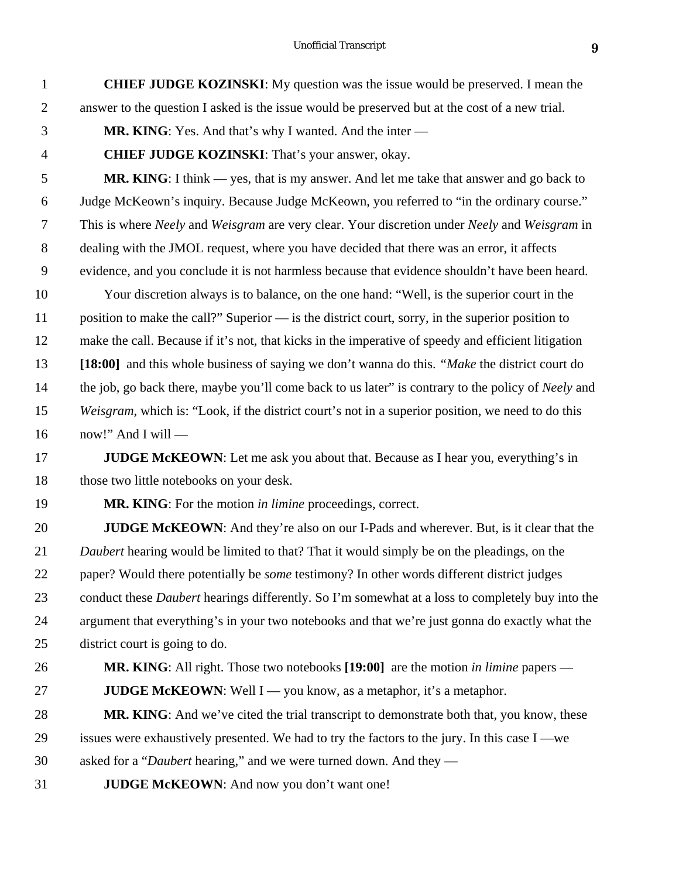| $\mathbf{1}$   | <b>CHIEF JUDGE KOZINSKI:</b> My question was the issue would be preserved. I mean the                   |
|----------------|---------------------------------------------------------------------------------------------------------|
| $\overline{2}$ | answer to the question I asked is the issue would be preserved but at the cost of a new trial.          |
| 3              | <b>MR. KING:</b> Yes. And that's why I wanted. And the inter —                                          |
| $\overline{4}$ | <b>CHIEF JUDGE KOZINSKI:</b> That's your answer, okay.                                                  |
| 5              | <b>MR. KING:</b> I think $-$ yes, that is my answer. And let me take that answer and go back to         |
| 6              | Judge McKeown's inquiry. Because Judge McKeown, you referred to "in the ordinary course."               |
| $\tau$         | This is where Neely and Weisgram are very clear. Your discretion under Neely and Weisgram in            |
| $8\,$          | dealing with the JMOL request, where you have decided that there was an error, it affects               |
| 9              | evidence, and you conclude it is not harmless because that evidence shouldn't have been heard.          |
| 10             | Your discretion always is to balance, on the one hand: "Well, is the superior court in the              |
| 11             | position to make the call?" Superior — is the district court, sorry, in the superior position to        |
| 12             | make the call. Because if it's not, that kicks in the imperative of speedy and efficient litigation     |
| 13             | [18:00] and this whole business of saying we don't wanna do this. "Make the district court do           |
| 14             | the job, go back there, maybe you'll come back to us later" is contrary to the policy of Neely and      |
| 15             | Weisgram, which is: "Look, if the district court's not in a superior position, we need to do this       |
| 16             | now!" And I will —                                                                                      |
| 17             | <b>JUDGE McKEOWN</b> : Let me ask you about that. Because as I hear you, everything's in                |
| 18             | those two little notebooks on your desk.                                                                |
| 19             | <b>MR. KING</b> : For the motion in limine proceedings, correct.                                        |
| 20             | <b>JUDGE McKEOWN:</b> And they're also on our I-Pads and wherever. But, is it clear that the            |
| 21             | Daubert hearing would be limited to that? That it would simply be on the pleadings, on the              |
| 22             | paper? Would there potentially be <i>some</i> testimony? In other words different district judges       |
| 23             | conduct these <i>Daubert</i> hearings differently. So I'm somewhat at a loss to completely buy into the |
| 24             | argument that everything's in your two notebooks and that we're just gonna do exactly what the          |
| 25             | district court is going to do.                                                                          |
| 26             | <b>MR. KING:</b> All right. Those two notebooks $[19:00]$ are the motion in limine papers —             |
| 27             | <b>JUDGE McKEOWN:</b> Well $I$ $\rightarrow$ you know, as a metaphor, it's a metaphor.                  |
| 28             | MR. KING: And we've cited the trial transcript to demonstrate both that, you know, these                |
| 29             | issues were exhaustively presented. We had to try the factors to the jury. In this case I —we           |
| 30             | asked for a " <i>Daubert</i> hearing," and we were turned down. And they —                              |
| 31             | <b>JUDGE McKEOWN:</b> And now you don't want one!                                                       |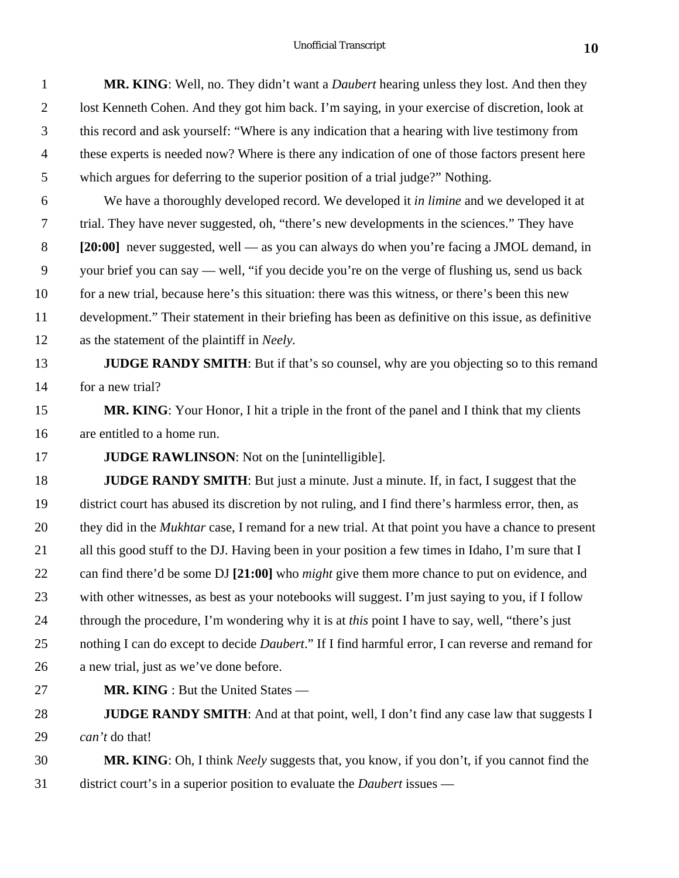| $\mathbf{1}$   | MR. KING: Well, no. They didn't want a <i>Daubert</i> hearing unless they lost. And then they             |
|----------------|-----------------------------------------------------------------------------------------------------------|
| $\overline{2}$ | lost Kenneth Cohen. And they got him back. I'm saying, in your exercise of discretion, look at            |
| 3              | this record and ask yourself: "Where is any indication that a hearing with live testimony from            |
| $\overline{4}$ | these experts is needed now? Where is there any indication of one of those factors present here           |
| 5              | which argues for deferring to the superior position of a trial judge?" Nothing.                           |
| 6              | We have a thoroughly developed record. We developed it in limine and we developed it at                   |
| $\tau$         | trial. They have never suggested, oh, "there's new developments in the sciences." They have               |
| 8              | [20:00] never suggested, well — as you can always do when you're facing a JMOL demand, in                 |
| 9              | your brief you can say — well, "if you decide you're on the verge of flushing us, send us back            |
| 10             | for a new trial, because here's this situation: there was this witness, or there's been this new          |
| 11             | development." Their statement in their briefing has been as definitive on this issue, as definitive       |
| 12             | as the statement of the plaintiff in Neely.                                                               |
| 13             | JUDGE RANDY SMITH: But if that's so counsel, why are you objecting so to this remand                      |
| 14             | for a new trial?                                                                                          |
| 15             | MR. KING: Your Honor, I hit a triple in the front of the panel and I think that my clients                |
| 16             | are entitled to a home run.                                                                               |
| 17             | <b>JUDGE RAWLINSON:</b> Not on the [unintelligible].                                                      |
| 18             | <b>JUDGE RANDY SMITH:</b> But just a minute. Just a minute. If, in fact, I suggest that the               |
| 19             | district court has abused its discretion by not ruling, and I find there's harmless error, then, as       |
| 20             | they did in the <i>Mukhtar</i> case, I remand for a new trial. At that point you have a chance to present |
| 21             | all this good stuff to the DJ. Having been in your position a few times in Idaho, I'm sure that I         |
| 22             | can find there'd be some DJ [21:00] who <i>might</i> give them more chance to put on evidence, and        |
| 23             | with other witnesses, as best as your notebooks will suggest. I'm just saying to you, if I follow         |
| 24             | through the procedure, I'm wondering why it is at this point I have to say, well, "there's just           |
| 25             | nothing I can do except to decide <i>Daubert</i> ." If I find harmful error, I can reverse and remand for |
| 26             | a new trial, just as we've done before.                                                                   |
| 27             | <b>MR. KING</b> : But the United States —                                                                 |
| 28             | <b>JUDGE RANDY SMITH:</b> And at that point, well, I don't find any case law that suggests I              |
| 29             | can't do that!                                                                                            |

 **MR. KING**: Oh, I think *Neely* suggests that, you know, if you don't, if you cannot find the district court's in a superior position to evaluate the *Daubert* issues —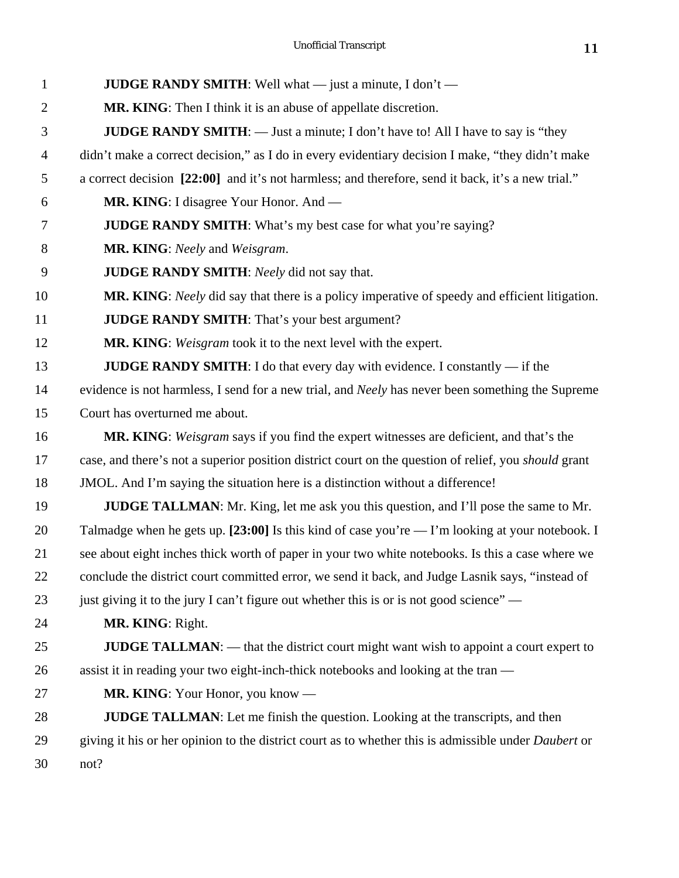| 1              | <b>JUDGE RANDY SMITH:</b> Well what $-$ just a minute, I don't $-$                                          |
|----------------|-------------------------------------------------------------------------------------------------------------|
| $\overline{2}$ | MR. KING: Then I think it is an abuse of appellate discretion.                                              |
| 3              | <b>JUDGE RANDY SMITH:</b> — Just a minute; I don't have to! All I have to say is "they                      |
| $\overline{4}$ | didn't make a correct decision," as I do in every evidentiary decision I make, "they didn't make            |
| 5              | a correct decision [22:00] and it's not harmless; and therefore, send it back, it's a new trial."           |
| 6              | MR. KING: I disagree Your Honor. And —                                                                      |
| 7              | <b>JUDGE RANDY SMITH:</b> What's my best case for what you're saying?                                       |
| 8              | <b>MR. KING:</b> Neely and Weisgram.                                                                        |
| 9              | <b>JUDGE RANDY SMITH:</b> Neely did not say that.                                                           |
| 10             | MR. KING: Neely did say that there is a policy imperative of speedy and efficient litigation.               |
| 11             | <b>JUDGE RANDY SMITH:</b> That's your best argument?                                                        |
| 12             | MR. KING: Weisgram took it to the next level with the expert.                                               |
| 13             | <b>JUDGE RANDY SMITH:</b> I do that every day with evidence. I constantly $-$ if the                        |
| 14             | evidence is not harmless, I send for a new trial, and Neely has never been something the Supreme            |
| 15             | Court has overturned me about.                                                                              |
| 16             | MR. KING: Weisgram says if you find the expert witnesses are deficient, and that's the                      |
| 17             | case, and there's not a superior position district court on the question of relief, you <i>should</i> grant |
| 18             | JMOL. And I'm saying the situation here is a distinction without a difference!                              |
| 19             | <b>JUDGE TALLMAN:</b> Mr. King, let me ask you this question, and I'll pose the same to Mr.                 |
| 20             | Talmadge when he gets up. [23:00] Is this kind of case you're — I'm looking at your notebook. I             |
| 21             | see about eight inches thick worth of paper in your two white notebooks. Is this a case where we            |
| 22             | conclude the district court committed error, we send it back, and Judge Lasnik says, "instead of            |
| 23             | just giving it to the jury I can't figure out whether this is or is not good science" —                     |
| 24             | MR. KING: Right.                                                                                            |
| 25             | <b>JUDGE TALLMAN:</b> — that the district court might want wish to appoint a court expert to                |
| 26             | assist it in reading your two eight-inch-thick notebooks and looking at the tran —                          |
| 27             | <b>MR. KING:</b> Your Honor, you know —                                                                     |
| 28             | <b>JUDGE TALLMAN:</b> Let me finish the question. Looking at the transcripts, and then                      |
| 29             | giving it his or her opinion to the district court as to whether this is admissible under <i>Daubert</i> or |
| 30             | not?                                                                                                        |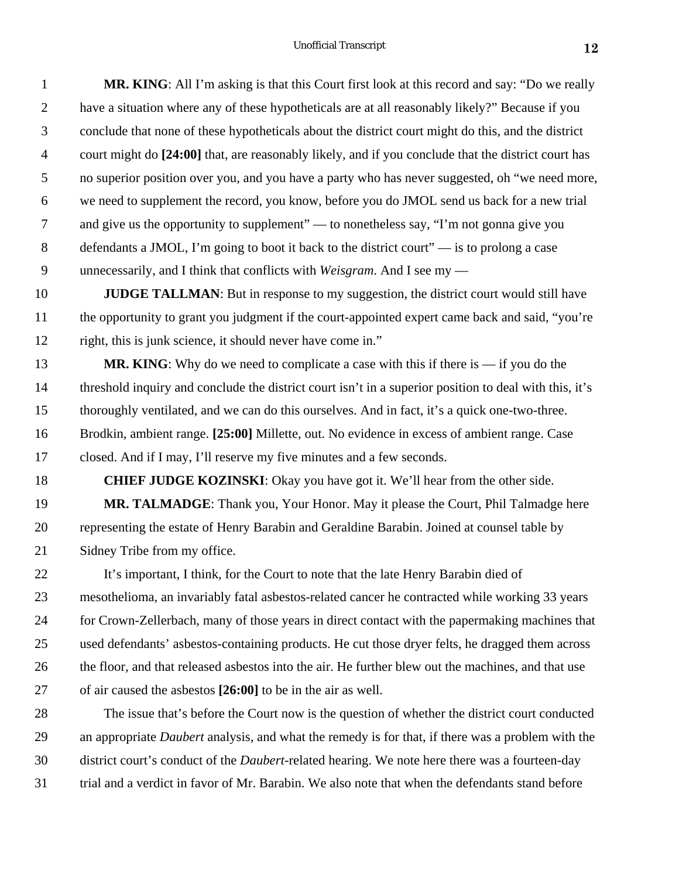| $\mathbf{1}$    | <b>MR. KING:</b> All I'm asking is that this Court first look at this record and say: "Do we really               |
|-----------------|-------------------------------------------------------------------------------------------------------------------|
| $\overline{2}$  | have a situation where any of these hypotheticals are at all reasonably likely?" Because if you                   |
| $\mathfrak{Z}$  | conclude that none of these hypotheticals about the district court might do this, and the district                |
| $\overline{4}$  | court might do [24:00] that, are reasonably likely, and if you conclude that the district court has               |
| 5 <sup>5</sup>  | no superior position over you, and you have a party who has never suggested, oh "we need more,                    |
| 6               | we need to supplement the record, you know, before you do JMOL send us back for a new trial                       |
| $7\overline{ }$ | and give us the opportunity to supplement" — to nonetheless say, "I'm not gonna give you                          |
| 8               | defendants a JMOL, I'm going to boot it back to the district court" $\overline{\phantom{a}}$ is to prolong a case |
| 9               | unnecessarily, and I think that conflicts with <i>Weisgram</i> . And I see my $-$                                 |

**JUDGE TALLMAN**: But in response to my suggestion, the district court would still have the opportunity to grant you judgment if the court-appointed expert came back and said, "you're right, this is junk science, it should never have come in."

**MR. KING**: Why do we need to complicate a case with this if there is — if you do the threshold inquiry and conclude the district court isn't in a superior position to deal with this, it's thoroughly ventilated, and we can do this ourselves. And in fact, it's a quick one-two-three. Brodkin, ambient range. **[25:00]** Millette, out. No evidence in excess of ambient range. Case closed. And if I may, I'll reserve my five minutes and a few seconds.

 **CHIEF JUDGE KOZINSKI**: Okay you have got it. We'll hear from the other side. **MR. TALMADGE**: Thank you, Your Honor. May it please the Court, Phil Talmadge here representing the estate of Henry Barabin and Geraldine Barabin. Joined at counsel table by Sidney Tribe from my office.

 It's important, I think, for the Court to note that the late Henry Barabin died of mesothelioma, an invariably fatal asbestos-related cancer he contracted while working 33 years for Crown-Zellerbach, many of those years in direct contact with the papermaking machines that used defendants' asbestos-containing products. He cut those dryer felts, he dragged them across the floor, and that released asbestos into the air. He further blew out the machines, and that use of air caused the asbestos **[26:00]** to be in the air as well.

 The issue that's before the Court now is the question of whether the district court conducted an appropriate *Daubert* analysis, and what the remedy is for that, if there was a problem with the district court's conduct of the *Daubert*-related hearing. We note here there was a fourteen-day trial and a verdict in favor of Mr. Barabin. We also note that when the defendants stand before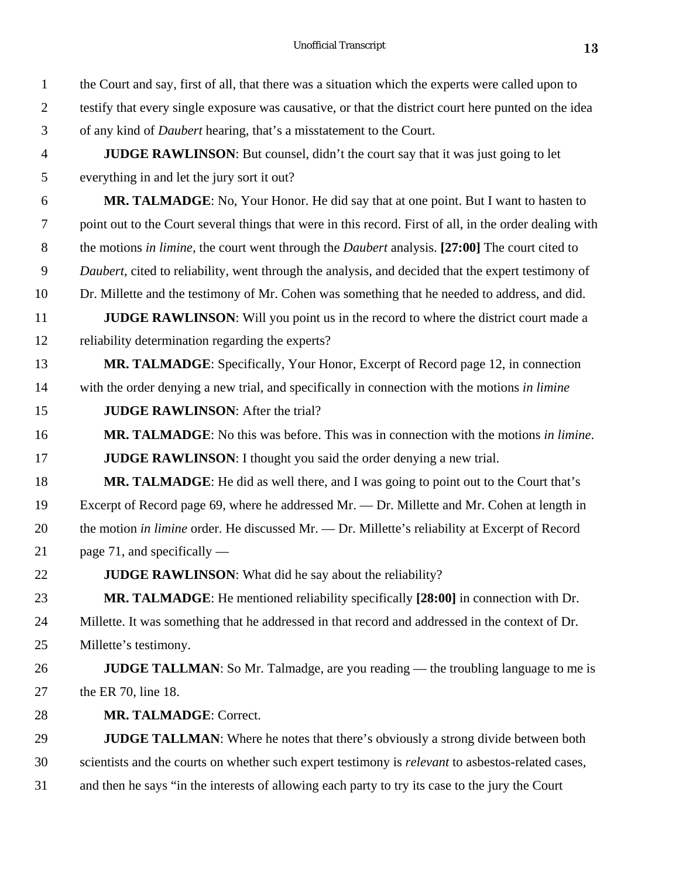| $\mathbf{1}$   | the Court and say, first of all, that there was a situation which the experts were called upon to        |
|----------------|----------------------------------------------------------------------------------------------------------|
| $\overline{2}$ | testify that every single exposure was causative, or that the district court here punted on the idea     |
| 3              | of any kind of <i>Daubert</i> hearing, that's a misstatement to the Court.                               |
| $\overline{4}$ | <b>JUDGE RAWLINSON:</b> But counsel, didn't the court say that it was just going to let                  |
| 5              | everything in and let the jury sort it out?                                                              |
| 6              | MR. TALMADGE: No, Your Honor. He did say that at one point. But I want to hasten to                      |
| $\overline{7}$ | point out to the Court several things that were in this record. First of all, in the order dealing with  |
| 8              | the motions in limine, the court went through the <i>Daubert</i> analysis. [27:00] The court cited to    |
| 9              | Daubert, cited to reliability, went through the analysis, and decided that the expert testimony of       |
| 10             | Dr. Millette and the testimony of Mr. Cohen was something that he needed to address, and did.            |
| 11             | <b>JUDGE RAWLINSON:</b> Will you point us in the record to where the district court made a               |
| 12             | reliability determination regarding the experts?                                                         |
| 13             | <b>MR. TALMADGE:</b> Specifically, Your Honor, Excerpt of Record page 12, in connection                  |
| 14             | with the order denying a new trial, and specifically in connection with the motions in limine            |
| 15             | <b>JUDGE RAWLINSON:</b> After the trial?                                                                 |
| 16             | <b>MR. TALMADGE:</b> No this was before. This was in connection with the motions in limine.              |
| 17             | <b>JUDGE RAWLINSON:</b> I thought you said the order denying a new trial.                                |
| 18             | <b>MR. TALMADGE:</b> He did as well there, and I was going to point out to the Court that's              |
| 19             | Excerpt of Record page 69, where he addressed Mr. $-$ Dr. Millette and Mr. Cohen at length in            |
| 20             | the motion in limine order. He discussed Mr. — Dr. Millette's reliability at Excerpt of Record           |
| 21             | page 71, and specifically $-$                                                                            |
| 22             | <b>JUDGE RAWLINSON:</b> What did he say about the reliability?                                           |
| 23             | MR. TALMADGE: He mentioned reliability specifically [28:00] in connection with Dr.                       |
| 24             | Millette. It was something that he addressed in that record and addressed in the context of Dr.          |
| 25             | Millette's testimony.                                                                                    |
| 26             | <b>JUDGE TALLMAN:</b> So Mr. Talmadge, are you reading — the troubling language to me is                 |
| 27             | the ER 70, line 18.                                                                                      |
| 28             | <b>MR. TALMADGE: Correct.</b>                                                                            |
| 29             | <b>JUDGE TALLMAN:</b> Where he notes that there's obviously a strong divide between both                 |
| 30             | scientists and the courts on whether such expert testimony is <i>relevant</i> to asbestos-related cases, |
| 31             | and then he says "in the interests of allowing each party to try its case to the jury the Court          |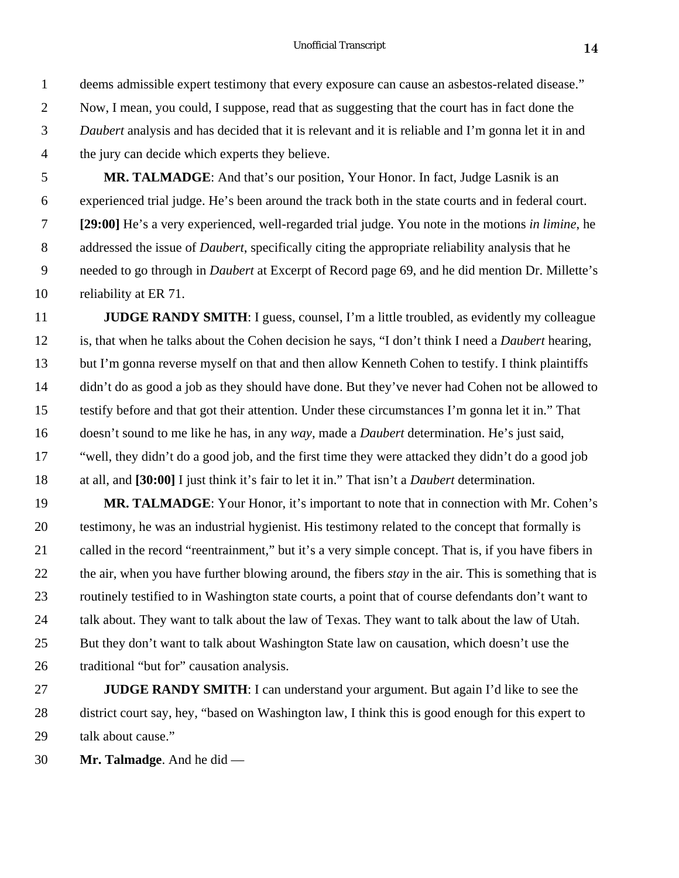## Unofficial Transcript **14**

 deems admissible expert testimony that every exposure can cause an asbestos-related disease." Now, I mean, you could, I suppose, read that as suggesting that the court has in fact done the *Daubert* analysis and has decided that it is relevant and it is reliable and I'm gonna let it in and the jury can decide which experts they believe.

 **MR. TALMADGE**: And that's our position, Your Honor. In fact, Judge Lasnik is an experienced trial judge. He's been around the track both in the state courts and in federal court. **[29:00]** He's a very experienced, well-regarded trial judge. You note in the motions *in limine*, he addressed the issue of *Daubert*, specifically citing the appropriate reliability analysis that he needed to go through in *Daubert* at Excerpt of Record page 69, and he did mention Dr. Millette's reliability at ER 71.

**JUDGE RANDY SMITH:** I guess, counsel, I'm a little troubled, as evidently my colleague is, that when he talks about the Cohen decision he says, "I don't think I need a *Daubert* hearing, but I'm gonna reverse myself on that and then allow Kenneth Cohen to testify. I think plaintiffs didn't do as good a job as they should have done. But they've never had Cohen not be allowed to testify before and that got their attention. Under these circumstances I'm gonna let it in." That doesn't sound to me like he has, in any *way,* made a *Daubert* determination. He's just said, "well, they didn't do a good job, and the first time they were attacked they didn't do a good job at all, and **[30:00]** I just think it's fair to let it in." That isn't a *Daubert* determination.

 **MR. TALMADGE**: Your Honor, it's important to note that in connection with Mr. Cohen's testimony, he was an industrial hygienist. His testimony related to the concept that formally is called in the record "reentrainment," but it's a very simple concept. That is, if you have fibers in the air, when you have further blowing around, the fibers *stay* in the air. This is something that is routinely testified to in Washington state courts, a point that of course defendants don't want to talk about. They want to talk about the law of Texas. They want to talk about the law of Utah. But they don't want to talk about Washington State law on causation, which doesn't use the traditional "but for" causation analysis.

 **JUDGE RANDY SMITH**: I can understand your argument. But again I'd like to see the district court say, hey, "based on Washington law, I think this is good enough for this expert to talk about cause."

**Mr. Talmadge**. And he did —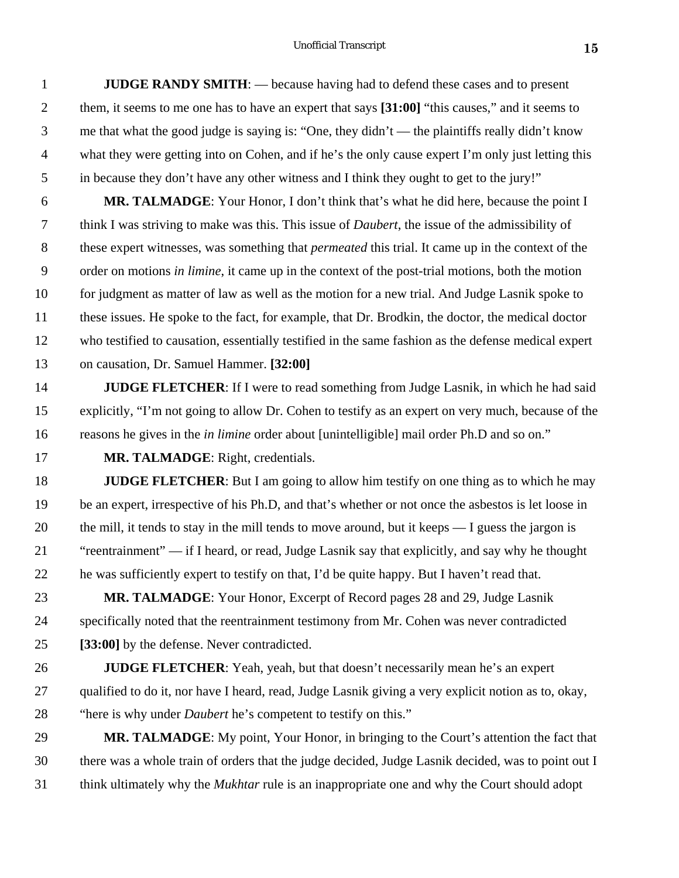**JUDGE RANDY SMITH**: — because having had to defend these cases and to present them, it seems to me one has to have an expert that says **[31:00]** "this causes," and it seems to me that what the good judge is saying is: "One, they didn't — the plaintiffs really didn't know what they were getting into on Cohen, and if he's the only cause expert I'm only just letting this in because they don't have any other witness and I think they ought to get to the jury!"

 **MR. TALMADGE**: Your Honor, I don't think that's what he did here, because the point I think I was striving to make was this. This issue of *Daubert*, the issue of the admissibility of these expert witnesses, was something that *permeated* this trial. It came up in the context of the order on motions *in limine*, it came up in the context of the post-trial motions, both the motion for judgment as matter of law as well as the motion for a new trial. And Judge Lasnik spoke to these issues. He spoke to the fact, for example, that Dr. Brodkin, the doctor, the medical doctor who testified to causation, essentially testified in the same fashion as the defense medical expert on causation, Dr. Samuel Hammer. **[32:00]**

**JUDGE FLETCHER**: If I were to read something from Judge Lasnik, in which he had said explicitly, "I'm not going to allow Dr. Cohen to testify as an expert on very much, because of the reasons he gives in the *in limine* order about [unintelligible] mail order Ph.D and so on."

**MR. TALMADGE**: Right, credentials.

**JUDGE FLETCHER**: But I am going to allow him testify on one thing as to which he may be an expert, irrespective of his Ph.D, and that's whether or not once the asbestos is let loose in the mill, it tends to stay in the mill tends to move around, but it keeps — I guess the jargon is "reentrainment" — if I heard, or read, Judge Lasnik say that explicitly, and say why he thought he was sufficiently expert to testify on that, I'd be quite happy. But I haven't read that.

 **MR. TALMADGE**: Your Honor, Excerpt of Record pages 28 and 29, Judge Lasnik specifically noted that the reentrainment testimony from Mr. Cohen was never contradicted **[33:00]** by the defense. Never contradicted.

 **JUDGE FLETCHER**: Yeah, yeah, but that doesn't necessarily mean he's an expert qualified to do it, nor have I heard, read, Judge Lasnik giving a very explicit notion as to, okay, "here is why under *Daubert* he's competent to testify on this."

 **MR. TALMADGE**: My point, Your Honor, in bringing to the Court's attention the fact that there was a whole train of orders that the judge decided, Judge Lasnik decided, was to point out I think ultimately why the *Mukhtar* rule is an inappropriate one and why the Court should adopt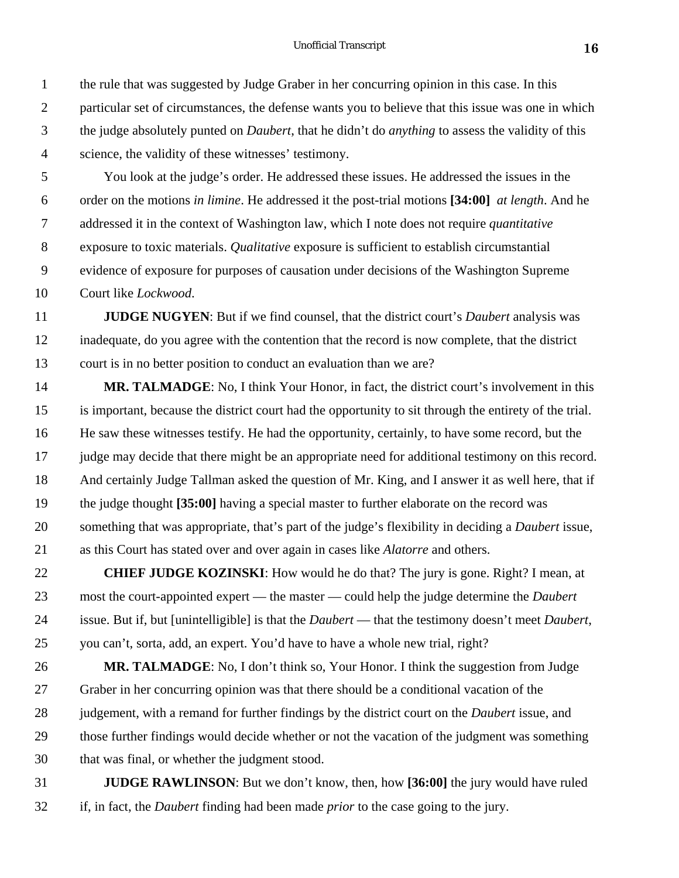You look at the judge's order. He addressed these issues. He addressed the issues in the order on the motions *in limine*. He addressed it the post-trial motions **[34:00]** *at length*. And he addressed it in the context of Washington law, which I note does not require *quantitative* exposure to toxic materials. *Qualitative* exposure is sufficient to establish circumstantial evidence of exposure for purposes of causation under decisions of the Washington Supreme Court like *Lockwood*.

science, the validity of these witnesses' testimony.

 **JUDGE NUGYEN**: But if we find counsel, that the district court's *Daubert* analysis was inadequate, do you agree with the contention that the record is now complete, that the district court is in no better position to conduct an evaluation than we are?

**MR. TALMADGE**: No, I think Your Honor, in fact, the district court's involvement in this is important, because the district court had the opportunity to sit through the entirety of the trial. He saw these witnesses testify. He had the opportunity, certainly, to have some record, but the judge may decide that there might be an appropriate need for additional testimony on this record. And certainly Judge Tallman asked the question of Mr. King, and I answer it as well here, that if the judge thought **[35:00]** having a special master to further elaborate on the record was something that was appropriate, that's part of the judge's flexibility in deciding a *Daubert* issue, as this Court has stated over and over again in cases like *Alatorre* and others.

 **CHIEF JUDGE KOZINSKI**: How would he do that? The jury is gone. Right? I mean, at most the court-appointed expert — the master — could help the judge determine the *Daubert* issue. But if, but [unintelligible] is that the *Daubert* — that the testimony doesn't meet *Daubert*, you can't, sorta, add, an expert. You'd have to have a whole new trial, right?

**MR. TALMADGE**: No, I don't think so, Your Honor. I think the suggestion from Judge Graber in her concurring opinion was that there should be a conditional vacation of the judgement, with a remand for further findings by the district court on the *Daubert* issue, and those further findings would decide whether or not the vacation of the judgment was something that was final, or whether the judgment stood.

 **JUDGE RAWLINSON**: But we don't know, then, how **[36:00]** the jury would have ruled if, in fact, the *Daubert* finding had been made *prior* to the case going to the jury.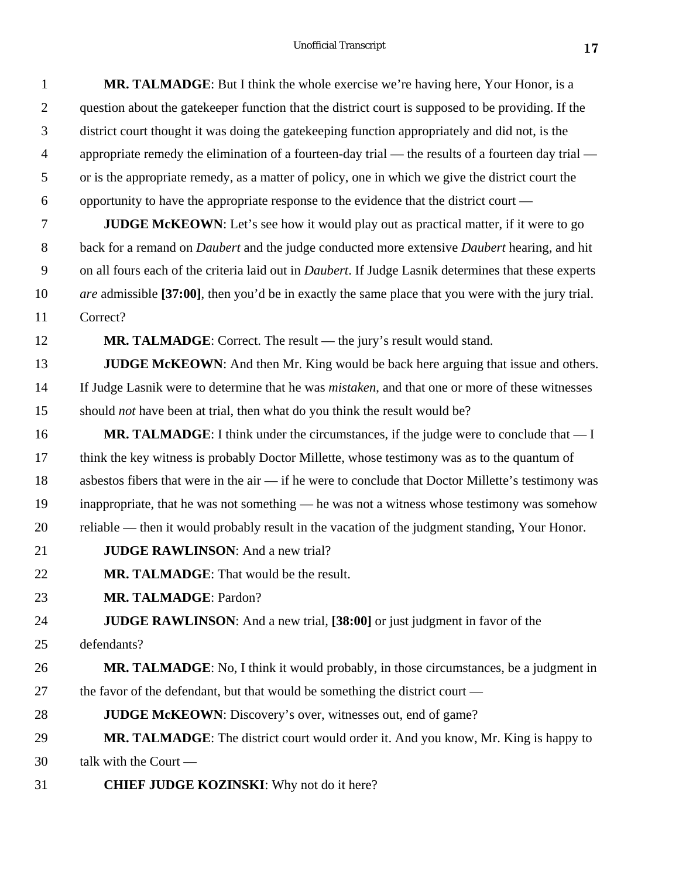| $\mathbf{1}$   | MR. TALMADGE: But I think the whole exercise we're having here, Your Honor, is a                                    |
|----------------|---------------------------------------------------------------------------------------------------------------------|
| $\mathbf{2}$   | question about the gate keeper function that the district court is supposed to be providing. If the                 |
| 3              | district court thought it was doing the gate keeping function appropriately and did not, is the                     |
| $\overline{4}$ | appropriate remedy the elimination of a fourteen-day trial - the results of a fourteen day trial -                  |
| 5              | or is the appropriate remedy, as a matter of policy, one in which we give the district court the                    |
| 6              | opportunity to have the appropriate response to the evidence that the district court —                              |
| 7              | <b>JUDGE McKEOWN</b> : Let's see how it would play out as practical matter, if it were to go                        |
| $8\,$          | back for a remand on <i>Daubert</i> and the judge conducted more extensive <i>Daubert</i> hearing, and hit          |
| 9              | on all fours each of the criteria laid out in <i>Daubert</i> . If Judge Lasnik determines that these experts        |
| 10             | <i>are</i> admissible [37:00], then you'd be in exactly the same place that you were with the jury trial.           |
| 11             | Correct?                                                                                                            |
| 12             | <b>MR. TALMADGE:</b> Correct. The result — the jury's result would stand.                                           |
| 13             | <b>JUDGE McKEOWN:</b> And then Mr. King would be back here arguing that issue and others.                           |
| 14             | If Judge Lasnik were to determine that he was <i>mistaken</i> , and that one or more of these witnesses             |
| 15             | should <i>not</i> have been at trial, then what do you think the result would be?                                   |
| 16             | <b>MR. TALMADGE:</b> I think under the circumstances, if the judge were to conclude that $\overline{\phantom{a}}$ I |
| 17             | think the key witness is probably Doctor Millette, whose testimony was as to the quantum of                         |
| 18             | asbestos fibers that were in the air — if he were to conclude that Doctor Millette's testimony was                  |
| 19             | inappropriate, that he was not something - he was not a witness whose testimony was somehow                         |
| 20             | reliable — then it would probably result in the vacation of the judgment standing, Your Honor.                      |
| 21             | <b>JUDGE RAWLINSON:</b> And a new trial?                                                                            |
| 22             | MR. TALMADGE: That would be the result.                                                                             |
| 23             | MR. TALMADGE: Pardon?                                                                                               |
| 24             | <b>JUDGE RAWLINSON:</b> And a new trial, [38:00] or just judgment in favor of the                                   |
| 25             | defendants?                                                                                                         |
| 26             | MR. TALMADGE: No, I think it would probably, in those circumstances, be a judgment in                               |
| 27             | the favor of the defendant, but that would be something the district court -                                        |
| 28             | <b>JUDGE McKEOWN:</b> Discovery's over, witnesses out, end of game?                                                 |
| 29             | MR. TALMADGE: The district court would order it. And you know, Mr. King is happy to                                 |
| 30             | talk with the Court -                                                                                               |
| 31             | <b>CHIEF JUDGE KOZINSKI:</b> Why not do it here?                                                                    |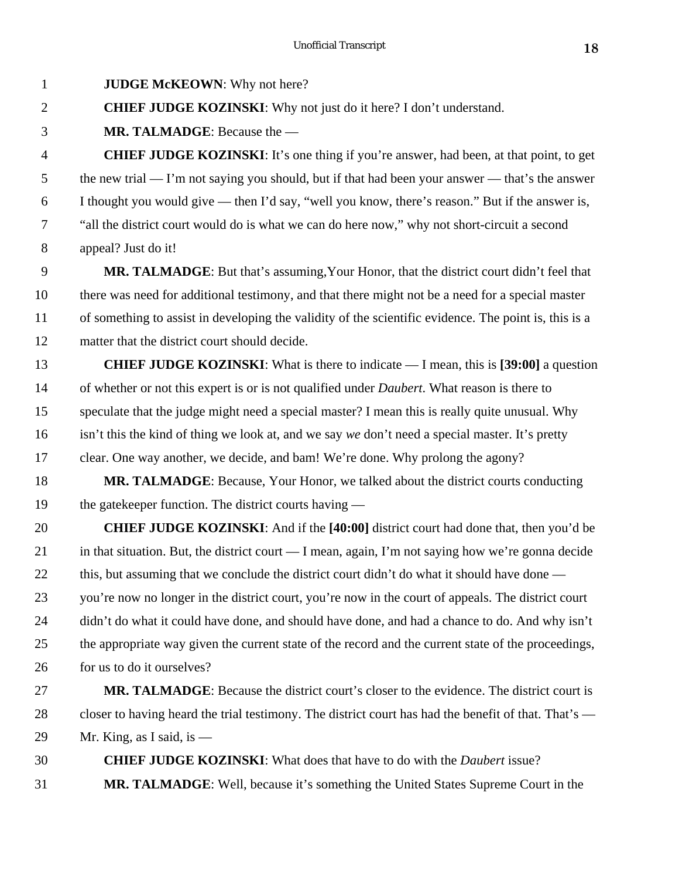**JUDGE McKEOWN**: Why not here?

**CHIEF JUDGE KOZINSKI**: Why not just do it here? I don't understand.

**MR. TALMADGE**: Because the —

 **CHIEF JUDGE KOZINSKI**: It's one thing if you're answer, had been, at that point, to get 5 the new trial — I'm not saying you should, but if that had been your answer — that's the answer I thought you would give — then I'd say, "well you know, there's reason." But if the answer is, "all the district court would do is what we can do here now," why not short-circuit a second appeal? Just do it!

**MR. TALMADGE:** But that's assuming, Your Honor, that the district court didn't feel that there was need for additional testimony, and that there might not be a need for a special master of something to assist in developing the validity of the scientific evidence. The point is, this is a matter that the district court should decide.

 **CHIEF JUDGE KOZINSKI**: What is there to indicate — I mean, this is **[39:00]** a question of whether or not this expert is or is not qualified under *Daubert*. What reason is there to speculate that the judge might need a special master? I mean this is really quite unusual. Why isn't this the kind of thing we look at, and we say *we* don't need a special master. It's pretty clear. One way another, we decide, and bam! We're done. Why prolong the agony?

**MR. TALMADGE:** Because, Your Honor, we talked about the district courts conducting 19 the gatekeeper function. The district courts having —

 **CHIEF JUDGE KOZINSKI**: And if the **[40:00]** district court had done that, then you'd be in that situation. But, the district court — I mean, again, I'm not saying how we're gonna decide 22 this, but assuming that we conclude the district court didn't do what it should have done — you're now no longer in the district court, you're now in the court of appeals. The district court 24 didn't do what it could have done, and should have done, and had a chance to do. And why isn't the appropriate way given the current state of the record and the current state of the proceedings, for us to do it ourselves?

 **MR. TALMADGE**: Because the district court's closer to the evidence. The district court is closer to having heard the trial testimony. The district court has had the benefit of that. That's — 29 Mr. King, as I said, is  $-$ 

 **CHIEF JUDGE KOZINSKI**: What does that have to do with the *Daubert* issue? **MR. TALMADGE**: Well, because it's something the United States Supreme Court in the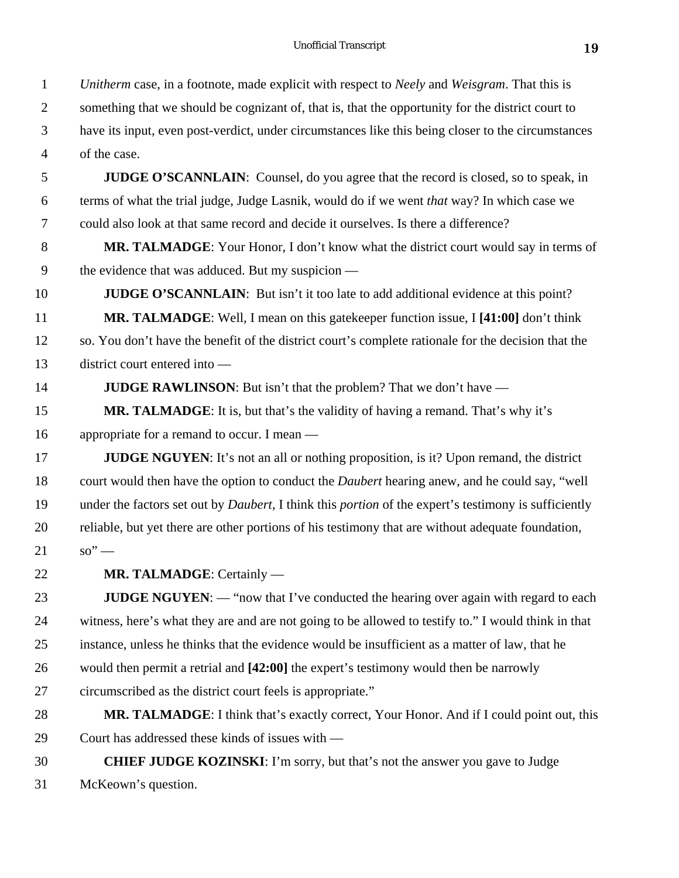*Unitherm* case, in a footnote, made explicit with respect to *Neely* and *Weisgram*. That this is

something that we should be cognizant of, that is, that the opportunity for the district court to

 have its input, even post-verdict, under circumstances like this being closer to the circumstances of the case.

 **JUDGE O'SCANNLAIN**: Counsel, do you agree that the record is closed, so to speak, in terms of what the trial judge, Judge Lasnik, would do if we went *that* way? In which case we could also look at that same record and decide it ourselves. Is there a difference?

**MR. TALMADGE:** Your Honor, I don't know what the district court would say in terms of the evidence that was adduced. But my suspicion —

**JUDGE O'SCANNLAIN:** But isn't it too late to add additional evidence at this point? **MR. TALMADGE**: Well, I mean on this gatekeeper function issue, I **[41:00]** don't think

 so. You don't have the benefit of the district court's complete rationale for the decision that the district court entered into —

**JUDGE RAWLINSON**: But isn't that the problem? That we don't have —

**MR. TALMADGE**: It is, but that's the validity of having a remand. That's why it's appropriate for a remand to occur. I mean —

**JUDGE NGUYEN**: It's not an all or nothing proposition, is it? Upon remand, the district court would then have the option to conduct the *Daubert* hearing anew, and he could say, "well under the factors set out by *Daubert*, I think this *portion* of the expert's testimony is sufficiently reliable, but yet there are other portions of his testimony that are without adequate foundation,  $21 \t so'' -$ 

**MR. TALMADGE**: Certainly —

**JUDGE NGUYEN:** — "now that I've conducted the hearing over again with regard to each witness, here's what they are and are not going to be allowed to testify to." I would think in that instance, unless he thinks that the evidence would be insufficient as a matter of law, that he would then permit a retrial and **[42:00]** the expert's testimony would then be narrowly circumscribed as the district court feels is appropriate."

**MR. TALMADGE**: I think that's exactly correct, Your Honor. And if I could point out, this Court has addressed these kinds of issues with —

 **CHIEF JUDGE KOZINSKI**: I'm sorry, but that's not the answer you gave to Judge McKeown's question.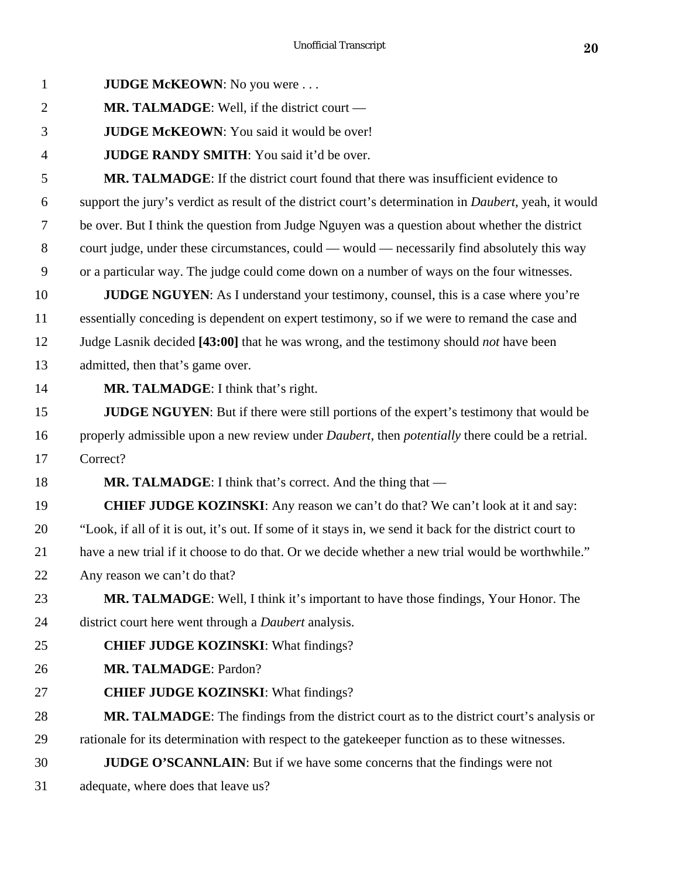| $\mathbf{1}$   | <b>JUDGE McKEOWN:</b> No you were                                                                              |
|----------------|----------------------------------------------------------------------------------------------------------------|
| $\overline{2}$ | <b>MR. TALMADGE:</b> Well, if the district court $-$                                                           |
| 3              | JUDGE McKEOWN: You said it would be over!                                                                      |
| $\overline{4}$ | <b>JUDGE RANDY SMITH:</b> You said it'd be over.                                                               |
| 5              | <b>MR. TALMADGE:</b> If the district court found that there was insufficient evidence to                       |
| 6              | support the jury's verdict as result of the district court's determination in <i>Daubert</i> , yeah, it would  |
| 7              | be over. But I think the question from Judge Nguyen was a question about whether the district                  |
| 8              | court judge, under these circumstances, could — would — necessarily find absolutely this way                   |
| 9              | or a particular way. The judge could come down on a number of ways on the four witnesses.                      |
| 10             | <b>JUDGE NGUYEN:</b> As I understand your testimony, counsel, this is a case where you're                      |
| 11             | essentially conceding is dependent on expert testimony, so if we were to remand the case and                   |
| 12             | Judge Lasnik decided [43:00] that he was wrong, and the testimony should <i>not</i> have been                  |
| 13             | admitted, then that's game over.                                                                               |
| 14             | <b>MR. TALMADGE:</b> I think that's right.                                                                     |
| 15             | JUDGE NGUYEN: But if there were still portions of the expert's testimony that would be                         |
| 16             | properly admissible upon a new review under <i>Daubert</i> , then <i>potentially</i> there could be a retrial. |
| 17             | Correct?                                                                                                       |
| 18             | <b>MR. TALMADGE:</b> I think that's correct. And the thing that —                                              |
| 19             | <b>CHIEF JUDGE KOZINSKI:</b> Any reason we can't do that? We can't look at it and say:                         |
| 20             | "Look, if all of it is out, it's out. If some of it stays in, we send it back for the district court to        |
| 21             | have a new trial if it choose to do that. Or we decide whether a new trial would be worthwhile."               |
| 22             | Any reason we can't do that?                                                                                   |
| 23             | MR. TALMADGE: Well, I think it's important to have those findings, Your Honor. The                             |
| 24             | district court here went through a <i>Daubert</i> analysis.                                                    |
| 25             | <b>CHIEF JUDGE KOZINSKI:</b> What findings?                                                                    |
| 26             | MR. TALMADGE: Pardon?                                                                                          |
| 27             | <b>CHIEF JUDGE KOZINSKI:</b> What findings?                                                                    |
| 28             | MR. TALMADGE: The findings from the district court as to the district court's analysis or                      |
| 29             | rationale for its determination with respect to the gatekeeper function as to these witnesses.                 |
| 30             | <b>JUDGE O'SCANNLAIN:</b> But if we have some concerns that the findings were not                              |
| 31             | adequate, where does that leave us?                                                                            |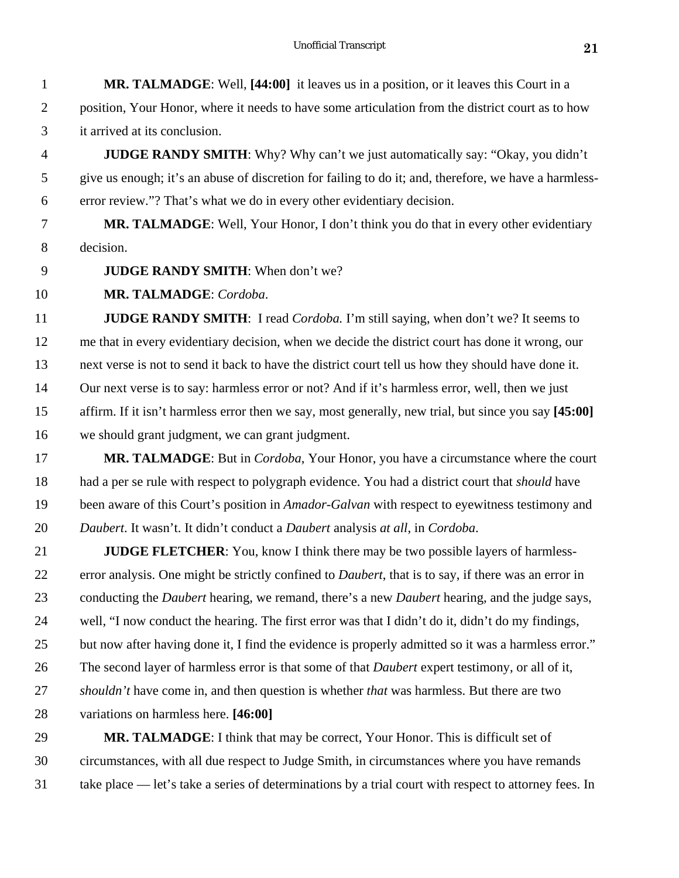|               | MR. TALMADGE: Well, [44:00] it leaves us in a position, or it leaves this Court in a             |
|---------------|--------------------------------------------------------------------------------------------------|
|               | position, Your Honor, where it needs to have some articulation from the district court as to how |
| $\mathcal{R}$ | it arrived at its conclusion.                                                                    |

 **JUDGE RANDY SMITH**: Why? Why can't we just automatically say: "Okay, you didn't give us enough; it's an abuse of discretion for failing to do it; and, therefore, we have a harmless-error review."? That's what we do in every other evidentiary decision.

 **MR. TALMADGE**: Well, Your Honor, I don't think you do that in every other evidentiary decision.

**JUDGE RANDY SMITH**: When don't we?

**MR. TALMADGE**: *Cordoba*.

 **JUDGE RANDY SMITH**: I read *Cordoba.* I'm still saying, when don't we? It seems to me that in every evidentiary decision, when we decide the district court has done it wrong, our next verse is not to send it back to have the district court tell us how they should have done it. Our next verse is to say: harmless error or not? And if it's harmless error, well, then we just affirm. If it isn't harmless error then we say, most generally, new trial, but since you say **[45:00]** we should grant judgment, we can grant judgment.

 **MR. TALMADGE**: But in *Cordoba*, Your Honor, you have a circumstance where the court had a per se rule with respect to polygraph evidence. You had a district court that *should* have been aware of this Court's position in *Amador-Galvan* with respect to eyewitness testimony and *Daubert*. It wasn't. It didn't conduct a *Daubert* analysis *at all*, in *Cordoba*.

 **JUDGE FLETCHER**: You, know I think there may be two possible layers of harmless- error analysis. One might be strictly confined to *Daubert*, that is to say, if there was an error in conducting the *Daubert* hearing, we remand, there's a new *Daubert* hearing, and the judge says, well, "I now conduct the hearing. The first error was that I didn't do it, didn't do my findings, 25 but now after having done it, I find the evidence is properly admitted so it was a harmless error." The second layer of harmless error is that some of that *Daubert* expert testimony, or all of it, *shouldn't* have come in, and then question is whether *that* was harmless. But there are two variations on harmless here. **[46:00]**

**MR. TALMADGE**: I think that may be correct, Your Honor. This is difficult set of circumstances, with all due respect to Judge Smith, in circumstances where you have remands take place — let's take a series of determinations by a trial court with respect to attorney fees. In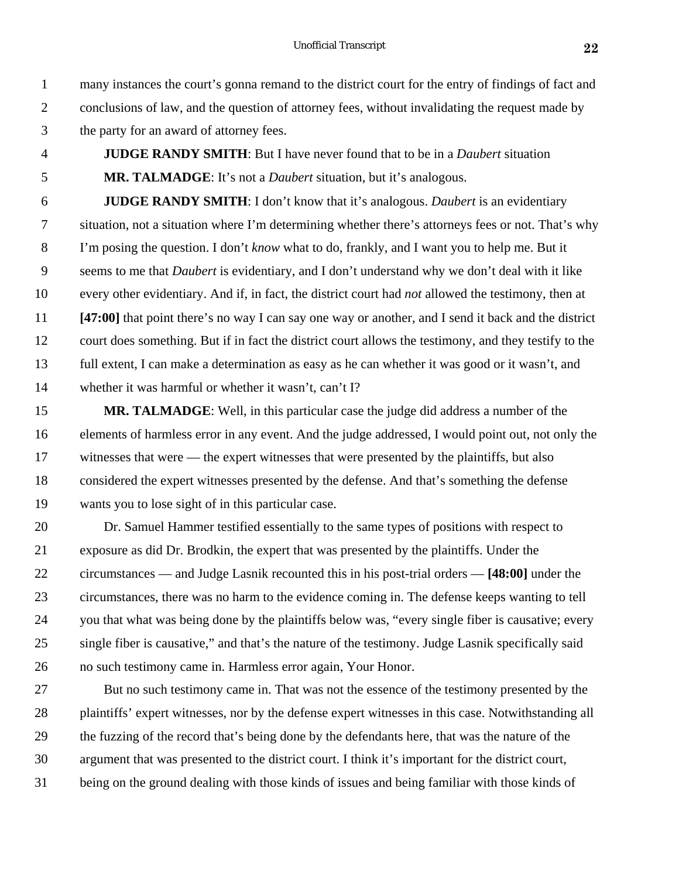many instances the court's gonna remand to the district court for the entry of findings of fact and conclusions of law, and the question of attorney fees, without invalidating the request made by

- the party for an award of attorney fees.
- **JUDGE RANDY SMITH**: But I have never found that to be in a *Daubert* situation **MR. TALMADGE**: It's not a *Daubert* situation, but it's analogous.

 **JUDGE RANDY SMITH**: I don't know that it's analogous. *Daubert* is an evidentiary situation, not a situation where I'm determining whether there's attorneys fees or not. That's why I'm posing the question. I don't *know* what to do, frankly, and I want you to help me. But it seems to me that *Daubert* is evidentiary, and I don't understand why we don't deal with it like every other evidentiary. And if, in fact, the district court had *not* allowed the testimony, then at **[47:00]** that point there's no way I can say one way or another, and I send it back and the district court does something. But if in fact the district court allows the testimony, and they testify to the full extent, I can make a determination as easy as he can whether it was good or it wasn't, and whether it was harmful or whether it wasn't, can't I?

 **MR. TALMADGE**: Well, in this particular case the judge did address a number of the elements of harmless error in any event. And the judge addressed, I would point out, not only the 17 witnesses that were — the expert witnesses that were presented by the plaintiffs, but also considered the expert witnesses presented by the defense. And that's something the defense wants you to lose sight of in this particular case.

 Dr. Samuel Hammer testified essentially to the same types of positions with respect to exposure as did Dr. Brodkin, the expert that was presented by the plaintiffs. Under the circumstances — and Judge Lasnik recounted this in his post-trial orders — **[48:00]** under the circumstances, there was no harm to the evidence coming in. The defense keeps wanting to tell you that what was being done by the plaintiffs below was, "every single fiber is causative; every single fiber is causative," and that's the nature of the testimony. Judge Lasnik specifically said no such testimony came in. Harmless error again, Your Honor.

 But no such testimony came in. That was not the essence of the testimony presented by the plaintiffs' expert witnesses, nor by the defense expert witnesses in this case. Notwithstanding all the fuzzing of the record that's being done by the defendants here, that was the nature of the argument that was presented to the district court. I think it's important for the district court, being on the ground dealing with those kinds of issues and being familiar with those kinds of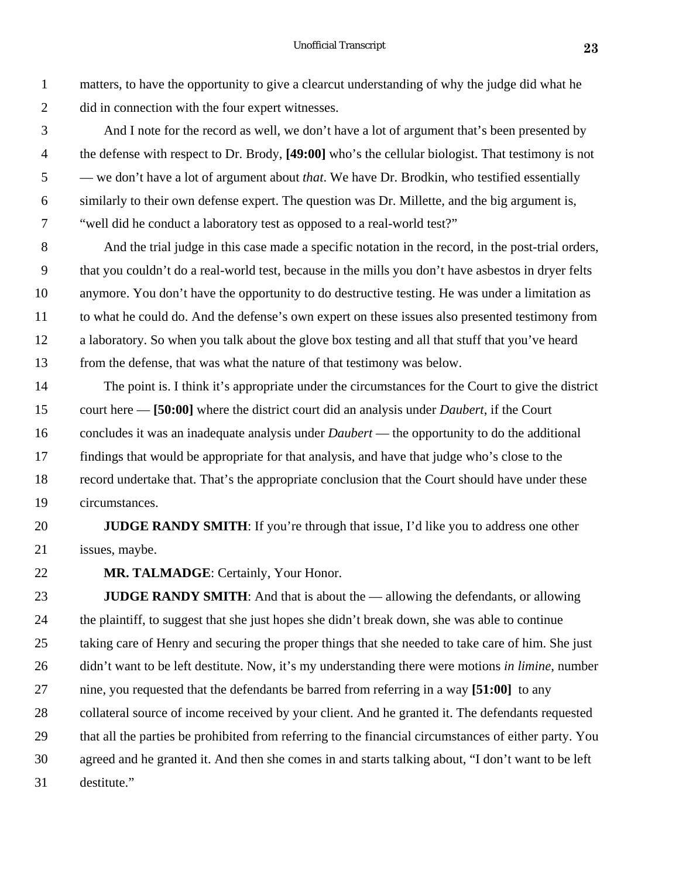matters, to have the opportunity to give a clearcut understanding of why the judge did what he did in connection with the four expert witnesses.

 And I note for the record as well, we don't have a lot of argument that's been presented by the defense with respect to Dr. Brody, **[49:00]** who's the cellular biologist. That testimony is not — we don't have a lot of argument about *that*. We have Dr. Brodkin, who testified essentially similarly to their own defense expert. The question was Dr. Millette, and the big argument is, "well did he conduct a laboratory test as opposed to a real-world test?"

 And the trial judge in this case made a specific notation in the record, in the post-trial orders, that you couldn't do a real-world test, because in the mills you don't have asbestos in dryer felts anymore. You don't have the opportunity to do destructive testing. He was under a limitation as to what he could do. And the defense's own expert on these issues also presented testimony from a laboratory. So when you talk about the glove box testing and all that stuff that you've heard from the defense, that was what the nature of that testimony was below.

 The point is. I think it's appropriate under the circumstances for the Court to give the district court here — **[50:00]** where the district court did an analysis under *Daubert*, if the Court concludes it was an inadequate analysis under *Daubert* — the opportunity to do the additional findings that would be appropriate for that analysis, and have that judge who's close to the record undertake that. That's the appropriate conclusion that the Court should have under these circumstances.

**JUDGE RANDY SMITH**: If you're through that issue, I'd like you to address one other issues, maybe.

**MR. TALMADGE**: Certainly, Your Honor.

 **JUDGE RANDY SMITH**: And that is about the — allowing the defendants, or allowing the plaintiff, to suggest that she just hopes she didn't break down, she was able to continue taking care of Henry and securing the proper things that she needed to take care of him. She just didn't want to be left destitute. Now, it's my understanding there were motions *in limine*, number nine, you requested that the defendants be barred from referring in a way **[51:00]** to any collateral source of income received by your client. And he granted it. The defendants requested that all the parties be prohibited from referring to the financial circumstances of either party. You agreed and he granted it. And then she comes in and starts talking about, "I don't want to be left destitute."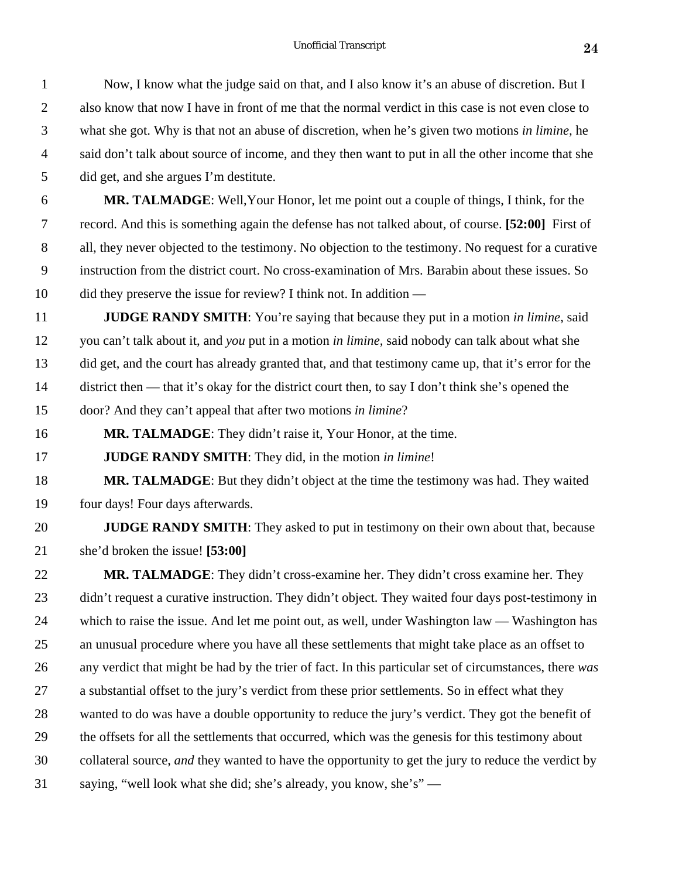Now, I know what the judge said on that, and I also know it's an abuse of discretion. But I

| $\overline{2}$ | also know that now I have in front of me that the normal verdict in this case is not even close to     |
|----------------|--------------------------------------------------------------------------------------------------------|
| 3              | what she got. Why is that not an abuse of discretion, when he's given two motions in limine, he        |
| $\overline{4}$ | said don't talk about source of income, and they then want to put in all the other income that she     |
| 5              | did get, and she argues I'm destitute.                                                                 |
| 6              | MR. TALMADGE: Well, Your Honor, let me point out a couple of things, I think, for the                  |
| 7              | record. And this is something again the defense has not talked about, of course. [52:00] First of      |
| 8              | all, they never objected to the testimony. No objection to the testimony. No request for a curative    |
| 9              | instruction from the district court. No cross-examination of Mrs. Barabin about these issues. So       |
| 10             | did they preserve the issue for review? I think not. In addition —                                     |
| 11             | <b>JUDGE RANDY SMITH:</b> You're saying that because they put in a motion in limine, said              |
| 12             | you can't talk about it, and you put in a motion in limine, said nobody can talk about what she        |
| 13             | did get, and the court has already granted that, and that testimony came up, that it's error for the   |
| 14             | district then — that it's okay for the district court then, to say I don't think she's opened the      |
| 15             | door? And they can't appeal that after two motions in limine?                                          |
| 16             | <b>MR. TALMADGE:</b> They didn't raise it, Your Honor, at the time.                                    |
| 17             | JUDGE RANDY SMITH: They did, in the motion in limine!                                                  |
| 18             | MR. TALMADGE: But they didn't object at the time the testimony was had. They waited                    |
| 19             | four days! Four days afterwards.                                                                       |
| 20             | JUDGE RANDY SMITH: They asked to put in testimony on their own about that, because                     |
| 21             | she'd broken the issue! [53:00]                                                                        |
| 22             | MR. TALMADGE: They didn't cross-examine her. They didn't cross examine her. They                       |
| 23             | didn't request a curative instruction. They didn't object. They waited four days post-testimony in     |
| 24             | which to raise the issue. And let me point out, as well, under Washington law — Washington has         |
| 25             | an unusual procedure where you have all these settlements that might take place as an offset to        |
| 26             | any verdict that might be had by the trier of fact. In this particular set of circumstances, there was |
| 27             | a substantial offset to the jury's verdict from these prior settlements. So in effect what they        |
| 28             | wanted to do was have a double opportunity to reduce the jury's verdict. They got the benefit of       |
| 29             | the offsets for all the settlements that occurred, which was the genesis for this testimony about      |
| 30             | collateral source, and they wanted to have the opportunity to get the jury to reduce the verdict by    |
| 31             | saying, "well look what she did; she's already, you know, she's" —                                     |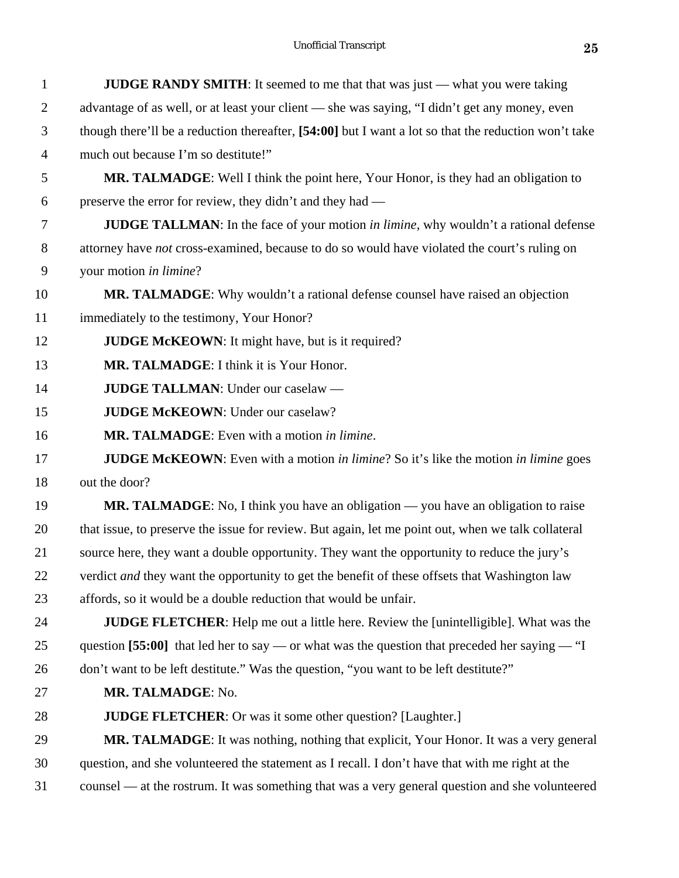| $\mathbf{1}$   | <b>JUDGE RANDY SMITH:</b> It seemed to me that that was just — what you were taking                  |
|----------------|------------------------------------------------------------------------------------------------------|
| $\overline{2}$ | advantage of as well, or at least your client — she was saying, "I didn't get any money, even        |
| 3              | though there'll be a reduction thereafter, [54:00] but I want a lot so that the reduction won't take |
| $\overline{4}$ | much out because I'm so destitute!"                                                                  |
| 5              | MR. TALMADGE: Well I think the point here, Your Honor, is they had an obligation to                  |
| 6              | preserve the error for review, they didn't and they had —                                            |
| 7              | <b>JUDGE TALLMAN:</b> In the face of your motion in limine, why wouldn't a rational defense          |
| $8\,$          | attorney have not cross-examined, because to do so would have violated the court's ruling on         |
| 9              | your motion in limine?                                                                               |
| 10             | MR. TALMADGE: Why wouldn't a rational defense counsel have raised an objection                       |
| 11             | immediately to the testimony, Your Honor?                                                            |
| 12             | <b>JUDGE McKEOWN:</b> It might have, but is it required?                                             |
| 13             | MR. TALMADGE: I think it is Your Honor.                                                              |
| 14             | JUDGE TALLMAN: Under our caselaw -                                                                   |
| 15             | <b>JUDGE McKEOWN: Under our caselaw?</b>                                                             |
| 16             | MR. TALMADGE: Even with a motion in limine.                                                          |
| 17             | <b>JUDGE McKEOWN</b> : Even with a motion in limine? So it's like the motion in limine goes          |
| 18             | out the door?                                                                                        |
| 19             | MR. TALMADGE: No, I think you have an obligation — you have an obligation to raise                   |
| 20             | that issue, to preserve the issue for review. But again, let me point out, when we talk collateral   |
| 21             | source here, they want a double opportunity. They want the opportunity to reduce the jury's          |
| 22             | verdict <i>and</i> they want the opportunity to get the benefit of these offsets that Washington law |
| 23             | affords, so it would be a double reduction that would be unfair.                                     |
| 24             | <b>JUDGE FLETCHER:</b> Help me out a little here. Review the [unintelligible]. What was the          |
| 25             | question [55:00] that led her to say — or what was the question that preceded her saying — "I        |
| 26             | don't want to be left destitute." Was the question, "you want to be left destitute?"                 |
| 27             | MR. TALMADGE: No.                                                                                    |
| 28             | <b>JUDGE FLETCHER:</b> Or was it some other question? [Laughter.]                                    |
| 29             | MR. TALMADGE: It was nothing, nothing that explicit, Your Honor. It was a very general               |
| 30             | question, and she volunteered the statement as I recall. I don't have that with me right at the      |
| 31             | counsel — at the rostrum. It was something that was a very general question and she volunteered      |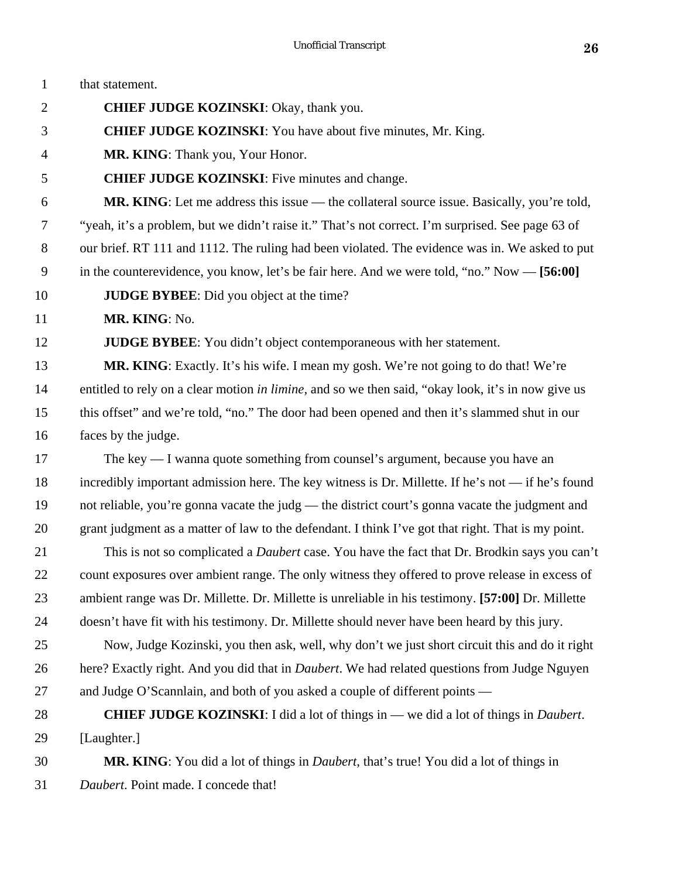| $\mathbf{1}$   | that statement.                                                                                      |
|----------------|------------------------------------------------------------------------------------------------------|
| $\overline{2}$ | <b>CHIEF JUDGE KOZINSKI:</b> Okay, thank you.                                                        |
| 3              | <b>CHIEF JUDGE KOZINSKI:</b> You have about five minutes, Mr. King.                                  |
| $\overline{4}$ | MR. KING: Thank you, Your Honor.                                                                     |
| 5              | <b>CHIEF JUDGE KOZINSKI:</b> Five minutes and change.                                                |
| 6              | <b>MR. KING:</b> Let me address this issue — the collateral source issue. Basically, you're told,    |
| 7              | "yeah, it's a problem, but we didn't raise it." That's not correct. I'm surprised. See page 63 of    |
| 8              | our brief. RT 111 and 1112. The ruling had been violated. The evidence was in. We asked to put       |
| 9              | in the counterevidence, you know, let's be fair here. And we were told, "no." Now — [56:00]          |
| 10             | <b>JUDGE BYBEE:</b> Did you object at the time?                                                      |
| 11             | MR. KING: No.                                                                                        |
| 12             | <b>JUDGE BYBEE:</b> You didn't object contemporaneous with her statement.                            |
| 13             | MR. KING: Exactly. It's his wife. I mean my gosh. We're not going to do that! We're                  |
| 14             | entitled to rely on a clear motion in limine, and so we then said, "okay look, it's in now give us   |
| 15             | this offset" and we're told, "no." The door had been opened and then it's slammed shut in our        |
| 16             | faces by the judge.                                                                                  |
| 17             | The key — I wanna quote something from counsel's argument, because you have an                       |
| 18             | incredibly important admission here. The key witness is Dr. Millette. If he's not — if he's found    |
| 19             | not reliable, you're gonna vacate the judg — the district court's gonna vacate the judgment and      |
| 20             | grant judgment as a matter of law to the defendant. I think I've got that right. That is my point.   |
| 21             | This is not so complicated a <i>Daubert</i> case. You have the fact that Dr. Brodkin says you can't  |
| 22             | count exposures over ambient range. The only witness they offered to prove release in excess of      |
| 23             | ambient range was Dr. Millette. Dr. Millette is unreliable in his testimony. [57:00] Dr. Millette    |
| 24             | doesn't have fit with his testimony. Dr. Millette should never have been heard by this jury.         |
| 25             | Now, Judge Kozinski, you then ask, well, why don't we just short circuit this and do it right        |
| 26             | here? Exactly right. And you did that in <i>Daubert</i> . We had related questions from Judge Nguyen |
| 27             | and Judge O'Scannlain, and both of you asked a couple of different points —                          |
| 28             | <b>CHIEF JUDGE KOZINSKI:</b> I did a lot of things in — we did a lot of things in <i>Daubert</i> .   |
| 29             | [Laughter.]                                                                                          |
| 30             | MR. KING: You did a lot of things in <i>Daubert</i> , that's true! You did a lot of things in        |
| 31             | Daubert. Point made. I concede that!                                                                 |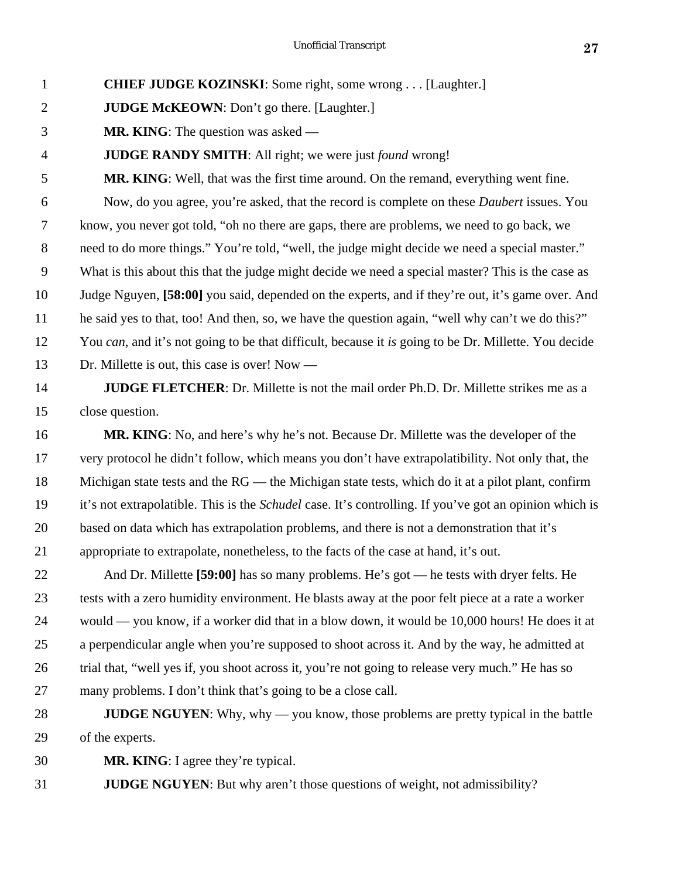## **CHIEF JUDGE KOZINSKI**: Some right, some wrong . . . [Laughter.]

- **JUDGE McKEOWN**: Don't go there. [Laughter.]
- **MR. KING**: The question was asked —

## **JUDGE RANDY SMITH**: All right; we were just *found* wrong!

 **MR. KING**: Well, that was the first time around. On the remand, everything went fine. Now, do you agree, you're asked, that the record is complete on these *Daubert* issues. You know, you never got told, "oh no there are gaps, there are problems, we need to go back, we need to do more things." You're told, "well, the judge might decide we need a special master." What is this about this that the judge might decide we need a special master? This is the case as Judge Nguyen, **[58:00]** you said, depended on the experts, and if they're out, it's game over. And he said yes to that, too! And then, so, we have the question again, "well why can't we do this?" You *can*, and it's not going to be that difficult, because it *is* going to be Dr. Millette. You decide Dr. Millette is out, this case is over! Now —

# **JUDGE FLETCHER**: Dr. Millette is not the mail order Ph.D. Dr. Millette strikes me as a close question.

 **MR. KING**: No, and here's why he's not. Because Dr. Millette was the developer of the very protocol he didn't follow, which means you don't have extrapolatibility. Not only that, the Michigan state tests and the RG — the Michigan state tests, which do it at a pilot plant, confirm it's not extrapolatible. This is the *Schudel* case. It's controlling. If you've got an opinion which is based on data which has extrapolation problems, and there is not a demonstration that it's appropriate to extrapolate, nonetheless, to the facts of the case at hand, it's out.

 And Dr. Millette **[59:00]** has so many problems. He's got — he tests with dryer felts. He tests with a zero humidity environment. He blasts away at the poor felt piece at a rate a worker would — you know, if a worker did that in a blow down, it would be 10,000 hours! He does it at a perpendicular angle when you're supposed to shoot across it. And by the way, he admitted at trial that, "well yes if, you shoot across it, you're not going to release very much." He has so many problems. I don't think that's going to be a close call.

- **JUDGE NGUYEN**: Why, why you know, those problems are pretty typical in the battle of the experts.
- **MR. KING**: I agree they're typical.

**JUDGE NGUYEN**: But why aren't those questions of weight, not admissibility?